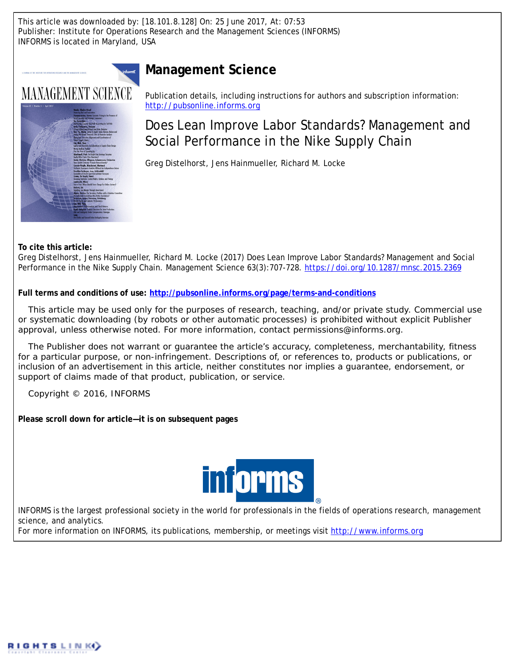This article was downloaded by: [18.101.8.128] On: 25 June 2017, At: 07:53 Publisher: Institute for Operations Research and the Management Sciences (INFORMS) INFORMS is located in Maryland, USA

# **Management Science**



Publication details, including instructions for authors and subscription information: <http://pubsonline.informs.org>

Does Lean Improve Labor Standards? Management and Social Performance in the Nike Supply Chain

Greg Distelhorst, Jens Hainmueller, Richard M. Locke

**To cite this article:**

Greg Distelhorst, Jens Hainmueller, Richard M. Locke (2017) Does Lean Improve Labor Standards? Management and Social Performance in the Nike Supply Chain. Management Science 63(3):707-728. <https://doi.org/10.1287/mnsc.2015.2369>

**Full terms and conditions of use: <http://pubsonline.informs.org/page/terms-and-conditions>**

This article may be used only for the purposes of research, teaching, and/or private study. Commercial use or systematic downloading (by robots or other automatic processes) is prohibited without explicit Publisher approval, unless otherwise noted. For more information, contact permissions@informs.org.

The Publisher does not warrant or guarantee the article's accuracy, completeness, merchantability, fitness for a particular purpose, or non-infringement. Descriptions of, or references to, products or publications, or inclusion of an advertisement in this article, neither constitutes nor implies a guarantee, endorsement, or support of claims made of that product, publication, or service.

Copyright © 2016, INFORMS

**Please scroll down for article—it is on subsequent pages**



INFORMS is the largest professional society in the world for professionals in the fields of operations research, management science, and analytics.

For more information on INFORMS, its publications, membership, or meetings visit <http://www.informs.org>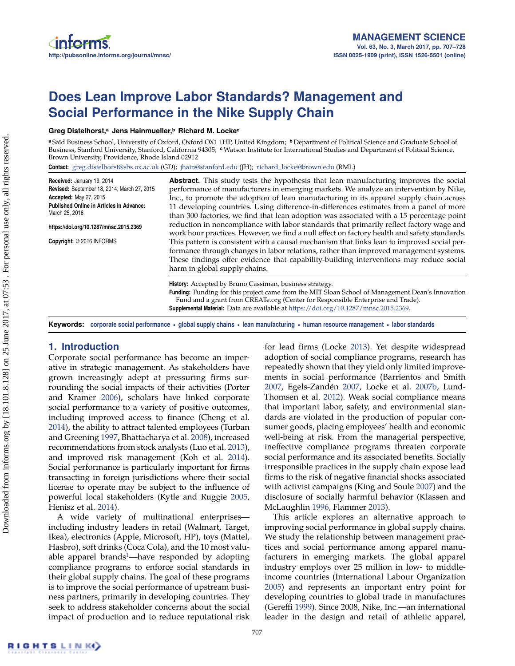# **Does Lean Improve Labor Standards? Management and Social Performance in the Nike Supply Chain**

#### **Greg Distelhorst,<sup>a</sup> Jens Hainmueller,<sup>b</sup> Richard M. Locke<sup>c</sup>**

**<sup>a</sup>** Saïd Business School, University of Oxford, Oxford OX1 1HP, United Kingdom; **<sup>b</sup>** Department of Political Science and Graduate School of Business, Stanford University, Stanford, California 94305; **<sup>c</sup>**Watson Institute for International Studies and Department of Political Science, Brown University, Providence, Rhode Island 02912

**Contact:** [greg.distelhorst@sbs.ox.ac.uk](mailto:greg.distelhorst@sbs.ox.ac.uk) (GD); [jhain@stanford.edu](mailto:jhain@stanford.edu) (JH); [richard\\_locke@brown.edu](mailto:richard_locke@brown.edu) (RML)

**Received:** January 19, 2014 **Revised:** September 18, 2014; March 27, 2015 **Accepted:** May 27, 2015 **Published Online in Articles in Advance:** March 25, 2016

**https://doi.org/10.1287/mnsc.2015.2369**

**Copyright:** © 2016 INFORMS

**Abstract.** This study tests the hypothesis that lean manufacturing improves the social performance of manufacturers in emerging markets. We analyze an intervention by Nike, Inc., to promote the adoption of lean manufacturing in its apparel supply chain across 11 developing countries. Using difference-in-differences estimates from a panel of more than 300 factories, we find that lean adoption was associated with a 15 percentage point reduction in noncompliance with labor standards that primarily reflect factory wage and work hour practices. However, we find a null effect on factory health and safety standards. This pattern is consistent with a causal mechanism that links lean to improved social performance through changes in labor relations, rather than improved management systems. These findings offer evidence that capability-building interventions may reduce social harm in global supply chains.

**History:** Accepted by Bruno Cassiman, business strategy. **Funding:** Funding for this project came from the MIT Sloan School of Management Dean's Innovation Fund and a grant from CREATe.org (Center for Responsible Enterprise and Trade). **Supplemental Material:** Data are available at [https://doi.org/10.1287/mnsc.2015.2369.](https://doi.org/10.1287/mnsc.2015.2369)

**Keywords: corporate social performance • global supply chains • lean manufacturing • human resource management • labor standards**

## **1. Introduction**

Corporate social performance has become an imperative in strategic management. As stakeholders have grown increasingly adept at pressuring firms surrounding the social impacts of their activities (Porter and Kramer [2006\)](#page-22-0), scholars have linked corporate social performance to a variety of positive outcomes, including improved access to finance (Cheng et al. [2014\)](#page-21-0), the ability to attract talented employees (Turban and Greening [1997,](#page-22-1) Bhattacharya et al. [2008\)](#page-20-0), increased recommendations from stock analysts (Luo et al. [2013\)](#page-21-1), and improved risk management (Koh et al. [2014\)](#page-21-2). Social performance is particularly important for firms transacting in foreign jurisdictions where their social license to operate may be subject to the influence of powerful local stakeholders (Kytle and Ruggie [2005,](#page-21-3) Henisz et al. [2014\)](#page-21-4).

<span id="page-1-0"></span>A wide variety of multinational enterprises including industry leaders in retail (Walmart, Target, Ikea), electronics (Apple, Microsoft, HP), toys (Mattel, Hasbro), soft drinks (Coca Cola), and the 10 most valu-able apparel brands<sup>[1](#page-20-1)</sup>—have responded by adopting compliance programs to enforce social standards in their global supply chains. The goal of these programs is to improve the social performance of upstream business partners, primarily in developing countries. They seek to address stakeholder concerns about the social impact of production and to reduce reputational risk for lead firms (Locke [2013\)](#page-21-5). Yet despite widespread adoption of social compliance programs, research has repeatedly shown that they yield only limited improvements in social performance (Barrientos and Smith [2007,](#page-20-2) Egels-Zandén [2007,](#page-21-6) Locke et al. [2007b,](#page-21-7) Lund-Thomsen et al. [2012\)](#page-21-8). Weak social compliance means that important labor, safety, and environmental standards are violated in the production of popular consumer goods, placing employees' health and economic well-being at risk. From the managerial perspective, ineffective compliance programs threaten corporate social performance and its associated benefits. Socially irresponsible practices in the supply chain expose lead firms to the risk of negative financial shocks associated with activist campaigns (King and Soule [2007\)](#page-21-9) and the disclosure of socially harmful behavior (Klassen and McLaughlin [1996,](#page-21-10) Flammer [2013\)](#page-21-11).

This article explores an alternative approach to improving social performance in global supply chains. We study the relationship between management practices and social performance among apparel manufacturers in emerging markets. The global apparel industry employs over 25 million in low- to middleincome countries (International Labour Organization [2005\)](#page-21-12) and represents an important entry point for developing countries to global trade in manufactures (Gereffi [1999\)](#page-21-13). Since 2008, Nike, Inc.—an international leader in the design and retail of athletic apparel,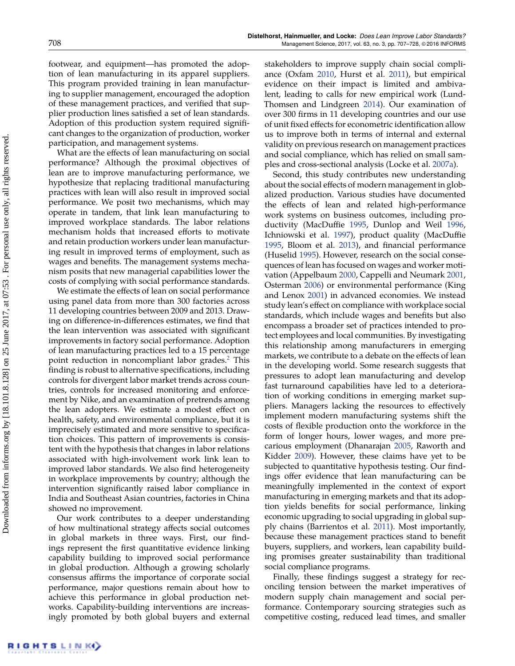footwear, and equipment—has promoted the adoption of lean manufacturing in its apparel suppliers. This program provided training in lean manufacturing to supplier management, encouraged the adoption of these management practices, and verified that supplier production lines satisfied a set of lean standards. Adoption of this production system required significant changes to the organization of production, worker participation, and management systems.

What are the effects of lean manufacturing on social performance? Although the proximal objectives of lean are to improve manufacturing performance, we hypothesize that replacing traditional manufacturing practices with lean will also result in improved social performance. We posit two mechanisms, which may operate in tandem, that link lean manufacturing to improved workplace standards. The labor relations mechanism holds that increased efforts to motivate and retain production workers under lean manufacturing result in improved terms of employment, such as wages and benefits. The management systems mechanism posits that new managerial capabilities lower the costs of complying with social performance standards.

We estimate the effects of lean on social performance using panel data from more than 300 factories across 11 developing countries between 2009 and 2013. Drawing on difference-in-differences estimates, we find that the lean intervention was associated with significant improvements in factory social performance. Adoption of lean manufacturing practices led to a 15 percentage point reduction in noncompliant labor grades.<sup>[2](#page-20-3)</sup> This finding is robust to alternative specifications, including controls for divergent labor market trends across countries, controls for increased monitoring and enforcement by Nike, and an examination of pretrends among the lean adopters. We estimate a modest effect on health, safety, and environmental compliance, but it is imprecisely estimated and more sensitive to specification choices. This pattern of improvements is consistent with the hypothesis that changes in labor relations associated with high-involvement work link lean to improved labor standards. We also find heterogeneity in workplace improvements by country; although the intervention significantly raised labor compliance in India and Southeast Asian countries, factories in China showed no improvement.

Our work contributes to a deeper understanding of how multinational strategy affects social outcomes in global markets in three ways. First, our findings represent the first quantitative evidence linking capability building to improved social performance in global production. Although a growing scholarly consensus affirms the importance of corporate social performance, major questions remain about how to achieve this performance in global production networks. Capability-building interventions are increasingly promoted by both global buyers and external stakeholders to improve supply chain social compliance (Oxfam [2010,](#page-22-2) Hurst et al. [2011\)](#page-21-14), but empirical evidence on their impact is limited and ambivalent, leading to calls for new empirical work (Lund-Thomsen and Lindgreen [2014\)](#page-21-15). Our examination of over 300 firms in 11 developing countries and our use of unit fixed effects for econometric identification allow us to improve both in terms of internal and external validity on previous research on management practices and social compliance, which has relied on small samples and cross-sectional analysis (Locke et al. [2007a\)](#page-21-16).

<span id="page-2-0"></span>Second, this study contributes new understanding about the social effects of modern management in globalized production. Various studies have documented the effects of lean and related high-performance work systems on business outcomes, including productivity (MacDuffie [1995,](#page-21-17) Dunlop and Weil [1996,](#page-21-18) Ichniowski et al. [1997\)](#page-21-19), product quality (MacDuffie [1995,](#page-21-17) Bloom et al. [2013\)](#page-21-20), and financial performance (Huselid [1995\)](#page-21-21). However, research on the social consequences of lean has focused on wages and worker motivation (Appelbaum [2000,](#page-20-4) Cappelli and Neumark [2001,](#page-21-22) Osterman [2006\)](#page-22-3) or environmental performance (King and Lenox [2001\)](#page-21-23) in advanced economies. We instead study lean's effect on compliance with workplace social standards, which include wages and benefits but also encompass a broader set of practices intended to protect employees and local communities. By investigating this relationship among manufacturers in emerging markets, we contribute to a debate on the effects of lean in the developing world. Some research suggests that pressures to adopt lean manufacturing and develop fast turnaround capabilities have led to a deterioration of working conditions in emerging market suppliers. Managers lacking the resources to effectively implement modern manufacturing systems shift the costs of flexible production onto the workforce in the form of longer hours, lower wages, and more precarious employment (Dhanarajan [2005,](#page-21-24) Raworth and Kidder [2009\)](#page-22-4). However, these claims have yet to be subjected to quantitative hypothesis testing. Our findings offer evidence that lean manufacturing can be meaningfully implemented in the context of export manufacturing in emerging markets and that its adoption yields benefits for social performance, linking economic upgrading to social upgrading in global supply chains (Barrientos et al. [2011\)](#page-20-5). Most importantly, because these management practices stand to benefit buyers, suppliers, and workers, lean capability building promises greater sustainability than traditional social compliance programs.

Finally, these findings suggest a strategy for reconciling tension between the market imperatives of modern supply chain management and social performance. Contemporary sourcing strategies such as competitive costing, reduced lead times, and smaller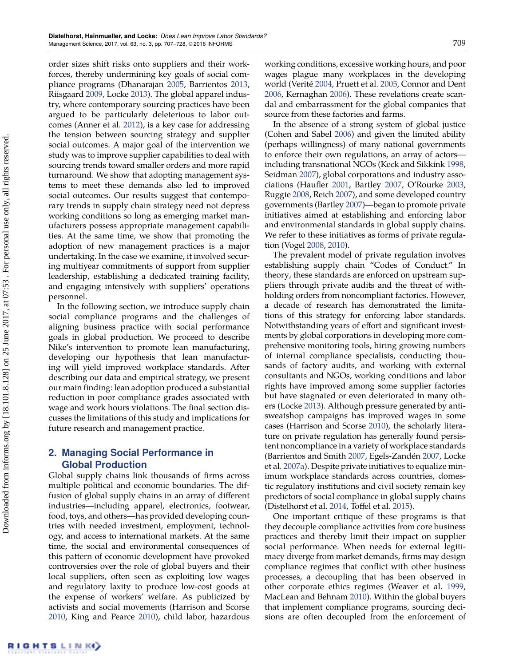order sizes shift risks onto suppliers and their workforces, thereby undermining key goals of social compliance programs (Dhanarajan [2005,](#page-21-24) Barrientos [2013,](#page-20-6) Riisgaard [2009,](#page-22-5) Locke [2013\)](#page-21-5). The global apparel industry, where contemporary sourcing practices have been argued to be particularly deleterious to labor outcomes (Anner et al. [2012\)](#page-20-7), is a key case for addressing the tension between sourcing strategy and supplier social outcomes. A major goal of the intervention we study was to improve supplier capabilities to deal with sourcing trends toward smaller orders and more rapid turnaround. We show that adopting management systems to meet these demands also led to improved social outcomes. Our results suggest that contemporary trends in supply chain strategy need not depress working conditions so long as emerging market manufacturers possess appropriate management capabilities. At the same time, we show that promoting the adoption of new management practices is a major undertaking. In the case we examine, it involved securing multiyear commitments of support from supplier leadership, establishing a dedicated training facility, and engaging intensively with suppliers' operations personnel.

In the following section, we introduce supply chain social compliance programs and the challenges of aligning business practice with social performance goals in global production. We proceed to describe Nike's intervention to promote lean manufacturing, developing our hypothesis that lean manufacturing will yield improved workplace standards. After describing our data and empirical strategy, we present our main finding: lean adoption produced a substantial reduction in poor compliance grades associated with wage and work hours violations. The final section discusses the limitations of this study and implications for future research and management practice.

# **2. Managing Social Performance in Global Production**

Global supply chains link thousands of firms across multiple political and economic boundaries. The diffusion of global supply chains in an array of different industries—including apparel, electronics, footwear, food, toys, and others—has provided developing countries with needed investment, employment, technology, and access to international markets. At the same time, the social and environmental consequences of this pattern of economic development have provoked controversies over the role of global buyers and their local suppliers, often seen as exploiting low wages and regulatory laxity to produce low-cost goods at the expense of workers' welfare. As publicized by activists and social movements (Harrison and Scorse [2010,](#page-21-25) King and Pearce [2010\)](#page-21-26), child labor, hazardous working conditions, excessive working hours, and poor wages plague many workplaces in the developing world (Verité [2004,](#page-22-6) Pruett et al. [2005,](#page-22-7) Connor and Dent [2006,](#page-21-27) Kernaghan [2006\)](#page-21-28). These revelations create scandal and embarrassment for the global companies that source from these factories and farms.

In the absence of a strong system of global justice (Cohen and Sabel [2006\)](#page-21-29) and given the limited ability (perhaps willingness) of many national governments to enforce their own regulations, an array of actors including transnational NGOs (Keck and Sikkink [1998,](#page-21-30) Seidman [2007\)](#page-22-8), global corporations and industry associations (Haufler [2001,](#page-21-31) Bartley [2007,](#page-20-8) O'Rourke [2003,](#page-22-9) Ruggie [2008,](#page-22-10) Reich [2007\)](#page-22-11), and some developed country governments (Bartley [2007\)](#page-20-8)—began to promote private initiatives aimed at establishing and enforcing labor and environmental standards in global supply chains. We refer to these initiatives as forms of private regulation (Vogel [2008,](#page-22-12) [2010\)](#page-22-13).

The prevalent model of private regulation involves establishing supply chain "Codes of Conduct." In theory, these standards are enforced on upstream suppliers through private audits and the threat of withholding orders from noncompliant factories. However, a decade of research has demonstrated the limitations of this strategy for enforcing labor standards. Notwithstanding years of effort and significant investments by global corporations in developing more comprehensive monitoring tools, hiring growing numbers of internal compliance specialists, conducting thousands of factory audits, and working with external consultants and NGOs, working conditions and labor rights have improved among some supplier factories but have stagnated or even deteriorated in many others (Locke [2013\)](#page-21-5). Although pressure generated by antisweatshop campaigns has improved wages in some cases (Harrison and Scorse [2010\)](#page-21-25), the scholarly literature on private regulation has generally found persistent noncompliance in a variety of workplace standards (Barrientos and Smith [2007,](#page-20-2) Egels-Zandén [2007,](#page-21-6) Locke et al. [2007a\)](#page-21-16). Despite private initiatives to equalize minimum workplace standards across countries, domestic regulatory institutions and civil society remain key predictors of social compliance in global supply chains (Distelhorst et al. [2014,](#page-21-32) Toffel et al. [2015\)](#page-22-14).

One important critique of these programs is that they decouple compliance activities from core business practices and thereby limit their impact on supplier social performance. When needs for external legitimacy diverge from market demands, firms may design compliance regimes that conflict with other business processes, a decoupling that has been observed in other corporate ethics regimes (Weaver et al. [1999,](#page-22-15) MacLean and Behnam [2010\)](#page-21-33). Within the global buyers that implement compliance programs, sourcing decisions are often decoupled from the enforcement of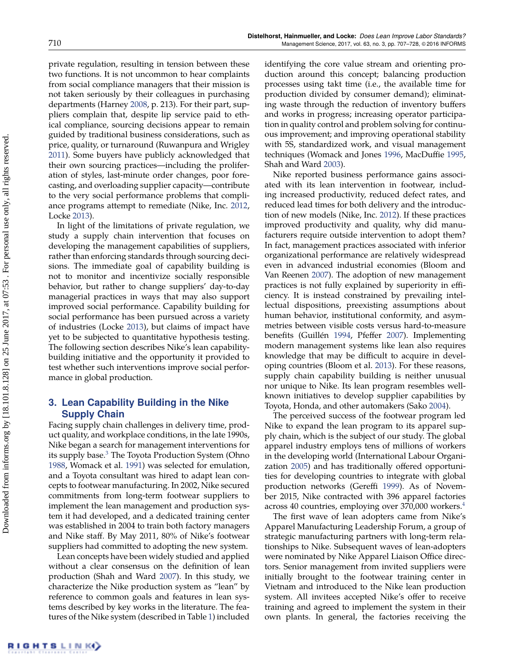private regulation, resulting in tension between these two functions. It is not uncommon to hear complaints from social compliance managers that their mission is not taken seriously by their colleagues in purchasing departments (Harney [2008,](#page-21-34) p. 213). For their part, suppliers complain that, despite lip service paid to ethical compliance, sourcing decisions appear to remain guided by traditional business considerations, such as price, quality, or turnaround (Ruwanpura and Wrigley [2011\)](#page-22-16). Some buyers have publicly acknowledged that their own sourcing practices—including the proliferation of styles, last-minute order changes, poor forecasting, and overloading supplier capacity—contribute to the very social performance problems that compliance programs attempt to remediate (Nike, Inc. [2012,](#page-22-17) Locke [2013\)](#page-21-5).

In light of the limitations of private regulation, we study a supply chain intervention that focuses on developing the management capabilities of suppliers, rather than enforcing standards through sourcing decisions. The immediate goal of capability building is not to monitor and incentivize socially responsible behavior, but rather to change suppliers' day-to-day managerial practices in ways that may also support improved social performance. Capability building for social performance has been pursued across a variety of industries (Locke [2013\)](#page-21-5), but claims of impact have yet to be subjected to quantitative hypothesis testing. The following section describes Nike's lean capabilitybuilding initiative and the opportunity it provided to test whether such interventions improve social performance in global production.

# <span id="page-4-0"></span>**3. Lean Capability Building in the Nike Supply Chain**

<span id="page-4-1"></span>Facing supply chain challenges in delivery time, product quality, and workplace conditions, in the late 1990s, Nike began a search for management interventions for its supply base.<sup>[3](#page-20-9)</sup> The Toyota Production System (Ohno [1988,](#page-22-18) Womack et al. [1991\)](#page-22-19) was selected for emulation, and a Toyota consultant was hired to adapt lean concepts to footwear manufacturing. In 2002, Nike secured commitments from long-term footwear suppliers to implement the lean management and production system it had developed, and a dedicated training center was established in 2004 to train both factory managers and Nike staff. By May 2011, 80% of Nike's footwear suppliers had committed to adopting the new system.

Lean concepts have been widely studied and applied without a clear consensus on the definition of lean production (Shah and Ward [2007\)](#page-22-20). In this study, we characterize the Nike production system as "lean" by reference to common goals and features in lean systems described by key works in the literature. The features of the Nike system (described in Table [1\)](#page-5-0) included identifying the core value stream and orienting production around this concept; balancing production processes using takt time (i.e., the available time for production divided by consumer demand); eliminating waste through the reduction of inventory buffers and works in progress; increasing operator participation in quality control and problem solving for continuous improvement; and improving operational stability with 5S, standardized work, and visual management techniques (Womack and Jones [1996,](#page-22-21) MacDuffie [1995,](#page-21-17) Shah and Ward [2003\)](#page-22-22).

Nike reported business performance gains associated with its lean intervention in footwear, including increased productivity, reduced defect rates, and reduced lead times for both delivery and the introduction of new models (Nike, Inc. [2012\)](#page-22-17). If these practices improved productivity and quality, why did manufacturers require outside intervention to adopt them? In fact, management practices associated with inferior organizational performance are relatively widespread even in advanced industrial economies (Bloom and Van Reenen [2007\)](#page-21-35). The adoption of new management practices is not fully explained by superiority in efficiency. It is instead constrained by prevailing intellectual dispositions, preexisting assumptions about human behavior, institutional conformity, and asymmetries between visible costs versus hard-to-measure benefits (Guillén [1994,](#page-21-36) Pfeffer [2007\)](#page-22-23). Implementing modern management systems like lean also requires knowledge that may be difficult to acquire in developing countries (Bloom et al. [2013\)](#page-21-20). For these reasons, supply chain capability building is neither unusual nor unique to Nike. Its lean program resembles wellknown initiatives to develop supplier capabilities by Toyota, Honda, and other automakers (Sako [2004\)](#page-22-24).

The perceived success of the footwear program led Nike to expand the lean program to its apparel supply chain, which is the subject of our study. The global apparel industry employs tens of millions of workers in the developing world (International Labour Organization [2005\)](#page-21-12) and has traditionally offered opportunities for developing countries to integrate with global production networks (Gereffi [1999\)](#page-21-13). As of November 2015, Nike contracted with 396 apparel factories across 40 countries, employing over 370,000 workers.[4](#page-20-10)

<span id="page-4-2"></span>The first wave of lean adopters came from Nike's Apparel Manufacturing Leadership Forum, a group of strategic manufacturing partners with long-term relationships to Nike. Subsequent waves of lean-adopters were nominated by Nike Apparel Liaison Office directors. Senior management from invited suppliers were initially brought to the footwear training center in Vietnam and introduced to the Nike lean production system. All invitees accepted Nike's offer to receive training and agreed to implement the system in their own plants. In general, the factories receiving the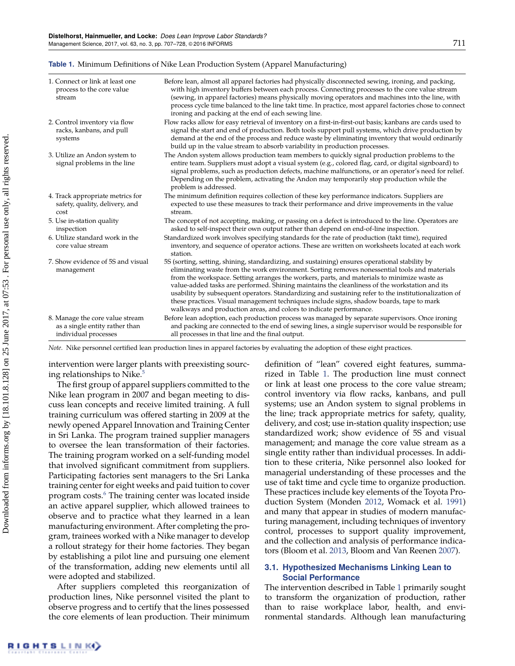#### <span id="page-5-0"></span>**Table 1.** Minimum Definitions of Nike Lean Production System (Apparel Manufacturing)

| 1. Connect or link at least one<br>process to the core value<br>stream                    | Before lean, almost all apparel factories had physically disconnected sewing, ironing, and packing,<br>with high inventory buffers between each process. Connecting processes to the core value stream<br>(sewing, in apparel factories) means physically moving operators and machines into the line, with<br>process cycle time balanced to the line takt time. In practice, most apparel factories chose to connect<br>ironing and packing at the end of each sewing line.                                                                                                                                                                                             |
|-------------------------------------------------------------------------------------------|---------------------------------------------------------------------------------------------------------------------------------------------------------------------------------------------------------------------------------------------------------------------------------------------------------------------------------------------------------------------------------------------------------------------------------------------------------------------------------------------------------------------------------------------------------------------------------------------------------------------------------------------------------------------------|
| 2. Control inventory via flow<br>racks, kanbans, and pull<br>systems                      | Flow racks allow for easy retrieval of inventory on a first-in-first-out basis; kanbans are cards used to<br>signal the start and end of production. Both tools support pull systems, which drive production by<br>demand at the end of the process and reduce waste by eliminating inventory that would ordinarily<br>build up in the value stream to absorb variability in production processes.                                                                                                                                                                                                                                                                        |
| 3. Utilize an Andon system to<br>signal problems in the line                              | The Andon system allows production team members to quickly signal production problems to the<br>entire team. Suppliers must adopt a visual system (e.g., colored flag, card, or digital signboard) to<br>signal problems, such as production defects, machine malfunctions, or an operator's need for relief.<br>Depending on the problem, activating the Andon may temporarily stop production while the<br>problem is addressed.                                                                                                                                                                                                                                        |
| 4. Track appropriate metrics for<br>safety, quality, delivery, and<br>cost                | The minimum definition requires collection of these key performance indicators. Suppliers are<br>expected to use these measures to track their performance and drive improvements in the value<br>stream.                                                                                                                                                                                                                                                                                                                                                                                                                                                                 |
| 5. Use in-station quality<br>inspection                                                   | The concept of not accepting, making, or passing on a defect is introduced to the line. Operators are<br>asked to self-inspect their own output rather than depend on end-of-line inspection.                                                                                                                                                                                                                                                                                                                                                                                                                                                                             |
| 6. Utilize standard work in the<br>core value stream                                      | Standardized work involves specifying standards for the rate of production (takt time), required<br>inventory, and sequence of operator actions. These are written on worksheets located at each work<br>station.                                                                                                                                                                                                                                                                                                                                                                                                                                                         |
| 7. Show evidence of 5S and visual<br>management                                           | 5S (sorting, setting, shining, standardizing, and sustaining) ensures operational stability by<br>eliminating waste from the work environment. Sorting removes nonessential tools and materials<br>from the workspace. Setting arranges the workers, parts, and materials to minimize waste as<br>value-added tasks are performed. Shining maintains the cleanliness of the workstation and its<br>usability by subsequent operators. Standardizing and sustaining refer to the institutionalization of<br>these practices. Visual management techniques include signs, shadow boards, tape to mark<br>walkways and production areas, and colors to indicate performance. |
| 8. Manage the core value stream<br>as a single entity rather than<br>individual processes | Before lean adoption, each production process was managed by separate supervisors. Once ironing<br>and packing are connected to the end of sewing lines, a single supervisor would be responsible for<br>all processes in that line and the final output.                                                                                                                                                                                                                                                                                                                                                                                                                 |

*Note.* Nike personnel certified lean production lines in apparel factories by evaluating the adoption of these eight practices.

intervention were larger plants with preexisting sourc-ing relationships to Nike.<sup>[5](#page-20-11)</sup>

<span id="page-5-1"></span>The first group of apparel suppliers committed to the Nike lean program in 2007 and began meeting to discuss lean concepts and receive limited training. A full training curriculum was offered starting in 2009 at the newly opened Apparel Innovation and Training Center in Sri Lanka. The program trained supplier managers to oversee the lean transformation of their factories. The training program worked on a self-funding model that involved significant commitment from suppliers. Participating factories sent managers to the Sri Lanka training center for eight weeks and paid tuition to cover program costs.[6](#page-20-12) The training center was located inside an active apparel supplier, which allowed trainees to observe and to practice what they learned in a lean manufacturing environment. After completing the program, trainees worked with a Nike manager to develop a rollout strategy for their home factories. They began by establishing a pilot line and pursuing one element of the transformation, adding new elements until all were adopted and stabilized.

<span id="page-5-2"></span>After suppliers completed this reorganization of production lines, Nike personnel visited the plant to observe progress and to certify that the lines possessed the core elements of lean production. Their minimum definition of "lean" covered eight features, summarized in Table [1.](#page-5-0) The production line must connect or link at least one process to the core value stream; control inventory via flow racks, kanbans, and pull systems; use an Andon system to signal problems in the line; track appropriate metrics for safety, quality, delivery, and cost; use in-station quality inspection; use standardized work; show evidence of 5S and visual management; and manage the core value stream as a single entity rather than individual processes. In addition to these criteria, Nike personnel also looked for managerial understanding of these processes and the use of takt time and cycle time to organize production. These practices include key elements of the Toyota Production System (Monden [2012,](#page-22-25) Womack et al. [1991\)](#page-22-19) and many that appear in studies of modern manufacturing management, including techniques of inventory control, processes to support quality improvement, and the collection and analysis of performance indicators (Bloom et al. [2013,](#page-21-20) Bloom and Van Reenen [2007\)](#page-21-35).

#### **3.1. Hypothesized Mechanisms Linking Lean to Social Performance**

The intervention described in Table [1](#page-5-0) primarily sought to transform the organization of production, rather than to raise workplace labor, health, and environmental standards. Although lean manufacturing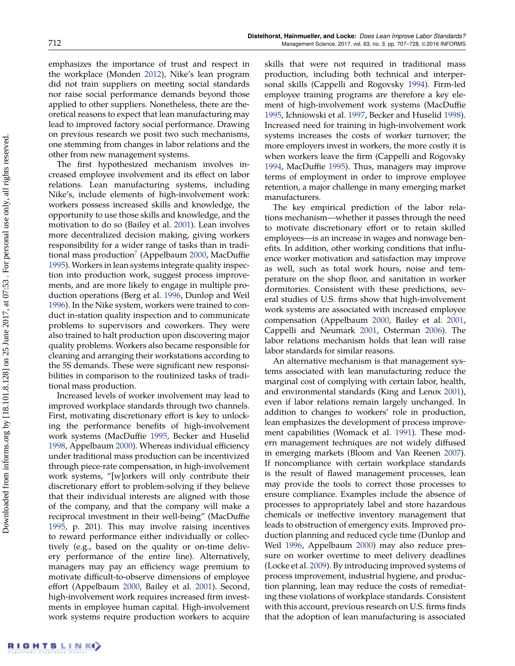emphasizes the importance of trust and respect in the workplace (Monden [2012\)](#page-22-25), Nike's lean program did not train suppliers on meeting social standards nor raise social performance demands beyond those applied to other suppliers. Nonetheless, there are theoretical reasons to expect that lean manufacturing may lead to improved factory social performance. Drawing on previous research we posit two such mechanisms, one stemming from changes in labor relations and the other from new management systems.

<span id="page-6-0"></span>The first hypothesized mechanism involves increased employee involvement and its effect on labor relations. Lean manufacturing systems, including Nike's, include elements of high-involvement work: workers possess increased skills and knowledge, the opportunity to use those skills and knowledge, and the motivation to do so (Bailey et al. [2001\)](#page-20-13). Lean involves more decentralized decision making, giving workers responsibility for a wider range of tasks than in traditional mass production $^7$  $^7$  (Appelbaum [2000,](#page-20-4) MacDuffie [1995\)](#page-21-17). Workers in lean systems integrate quality inspection into production work, suggest process improvements, and are more likely to engage in multiple production operations (Berg et al. [1996,](#page-20-15) Dunlop and Weil [1996\)](#page-21-18). In the Nike system, workers were trained to conduct in-station quality inspection and to communicate problems to supervisors and coworkers. They were also trained to halt production upon discovering major quality problems. Workers also became responsible for cleaning and arranging their workstations according to the 5S demands. These were significant new responsibilities in comparison to the routinized tasks of traditional mass production.

Increased levels of worker involvement may lead to improved workplace standards through two channels. First, motivating discretionary effort is key to unlocking the performance benefits of high-involvement work systems (MacDuffie [1995,](#page-21-17) Becker and Huselid [1998,](#page-20-16) Appelbaum [2000\)](#page-20-4). Whereas individual efficiency under traditional mass production can be incentivized through piece-rate compensation, in high-involvement work systems, "[w]orkers will only contribute their discretionary effort to problem-solving if they believe that their individual interests are aligned with those of the company, and that the company will make a reciprocal investment in their well-being" (MacDuffie [1995,](#page-21-17) p. 201). This may involve raising incentives to reward performance either individually or collectively (e.g., based on the quality or on-time delivery performance of the entire line). Alternatively, managers may pay an efficiency wage premium to motivate difficult-to-observe dimensions of employee effort (Appelbaum [2000,](#page-20-4) Bailey et al. [2001\)](#page-20-13). Second, high-involvement work requires increased firm investments in employee human capital. High-involvement work systems require production workers to acquire skills that were not required in traditional mass production, including both technical and interpersonal skills (Cappelli and Rogovsky [1994\)](#page-21-37). Firm-led employee training programs are therefore a key element of high-involvement work systems (MacDuffie [1995,](#page-21-17) Ichniowski et al. [1997,](#page-21-19) Becker and Huselid [1998\)](#page-20-16). Increased need for training in high-involvement work systems increases the costs of worker turnover; the more employers invest in workers, the more costly it is when workers leave the firm (Cappelli and Rogovsky [1994,](#page-21-37) MacDuffie [1995\)](#page-21-17). Thus, managers may improve terms of employment in order to improve employee retention, a major challenge in many emerging market manufacturers.

The key empirical prediction of the labor relations mechanism—whether it passes through the need to motivate discretionary effort or to retain skilled employees—is an increase in wages and nonwage benefits. In addition, other working conditions that influence worker motivation and satisfaction may improve as well, such as total work hours, noise and temperature on the shop floor, and sanitation in worker dormitories. Consistent with these predictions, several studies of U.S. firms show that high-involvement work systems are associated with increased employee compensation (Appelbaum [2000,](#page-20-4) Bailey et al. [2001,](#page-20-13) Cappelli and Neumark [2001,](#page-21-22) Osterman [2006\)](#page-22-3). The labor relations mechanism holds that lean will raise labor standards for similar reasons.

An alternative mechanism is that management systems associated with lean manufacturing reduce the marginal cost of complying with certain labor, health, and environmental standards (King and Lenox [2001\)](#page-21-23), even if labor relations remain largely unchanged. In addition to changes to workers' role in production, lean emphasizes the development of process improvement capabilities (Womack et al. [1991\)](#page-22-19). These modern management techniques are not widely diffused in emerging markets (Bloom and Van Reenen [2007\)](#page-21-35). If noncompliance with certain workplace standards is the result of flawed management processes, lean may provide the tools to correct those processes to ensure compliance. Examples include the absence of processes to appropriately label and store hazardous chemicals or ineffective inventory management that leads to obstruction of emergency exits. Improved production planning and reduced cycle time (Dunlop and Weil [1996,](#page-21-18) Appelbaum [2000\)](#page-20-4) may also reduce pressure on worker overtime to meet delivery deadlines (Locke et al. [2009\)](#page-21-38). By introducing improved systems of process improvement, industrial hygiene, and production planning, lean may reduce the costs of remediating these violations of workplace standards. Consistent with this account, previous research on U.S. firms finds that the adoption of lean manufacturing is associated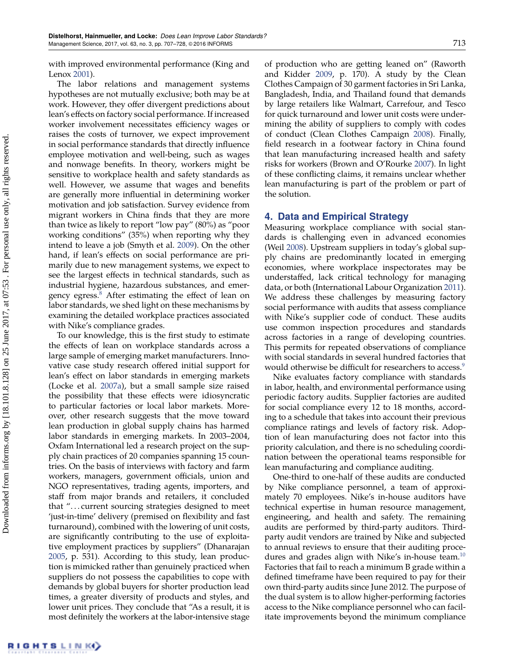with improved environmental performance (King and Lenox [2001\)](#page-21-23).

The labor relations and management systems hypotheses are not mutually exclusive; both may be at work. However, they offer divergent predictions about lean's effects on factory social performance. If increased worker involvement necessitates efficiency wages or raises the costs of turnover, we expect improvement in social performance standards that directly influence employee motivation and well-being, such as wages and nonwage benefits. In theory, workers might be sensitive to workplace health and safety standards as well. However, we assume that wages and benefits are generally more influential in determining worker motivation and job satisfaction. Survey evidence from migrant workers in China finds that they are more than twice as likely to report "low pay" (80%) as "poor working conditions" (35%) when reporting why they intend to leave a job (Smyth et al. [2009\)](#page-22-26). On the other hand, if lean's effects on social performance are primarily due to new management systems, we expect to see the largest effects in technical standards, such as industrial hygiene, hazardous substances, and emer-gency egress.<sup>[8](#page-20-17)</sup> After estimating the effect of lean on labor standards, we shed light on these mechanisms by examining the detailed workplace practices associated with Nike's compliance grades.

<span id="page-7-1"></span>To our knowledge, this is the first study to estimate the effects of lean on workplace standards across a large sample of emerging market manufacturers. Innovative case study research offered initial support for lean's effect on labor standards in emerging markets (Locke et al. [2007a\)](#page-21-16), but a small sample size raised the possibility that these effects were idiosyncratic to particular factories or local labor markets. Moreover, other research suggests that the move toward lean production in global supply chains has harmed labor standards in emerging markets. In 2003–2004, Oxfam International led a research project on the supply chain practices of 20 companies spanning 15 countries. On the basis of interviews with factory and farm workers, managers, government officials, union and NGO representatives, trading agents, importers, and staff from major brands and retailers, it concluded that ". . . current sourcing strategies designed to meet 'just-in-time' delivery (premised on flexibility and fast turnaround), combined with the lowering of unit costs, are significantly contributing to the use of exploitative employment practices by suppliers" (Dhanarajan [2005,](#page-21-24) p. 531). According to this study, lean production is mimicked rather than genuinely practiced when suppliers do not possess the capabilities to cope with demands by global buyers for shorter production lead times, a greater diversity of products and styles, and lower unit prices. They conclude that "As a result, it is most definitely the workers at the labor-intensive stage of production who are getting leaned on" (Raworth and Kidder [2009,](#page-22-4) p. 170). A study by the Clean Clothes Campaign of 30 garment factories in Sri Lanka, Bangladesh, India, and Thailand found that demands by large retailers like Walmart, Carrefour, and Tesco for quick turnaround and lower unit costs were undermining the ability of suppliers to comply with codes of conduct (Clean Clothes Campaign [2008\)](#page-21-39). Finally, field research in a footwear factory in China found that lean manufacturing increased health and safety risks for workers (Brown and O'Rourke [2007\)](#page-21-40). In light of these conflicting claims, it remains unclear whether lean manufacturing is part of the problem or part of the solution.

## <span id="page-7-0"></span>**4. Data and Empirical Strategy**

Measuring workplace compliance with social standards is challenging even in advanced economies (Weil [2008\)](#page-22-27). Upstream suppliers in today's global supply chains are predominantly located in emerging economies, where workplace inspectorates may be understaffed, lack critical technology for managing data, or both (International Labour Organization [2011\)](#page-21-41). We address these challenges by measuring factory social performance with audits that assess compliance with Nike's supplier code of conduct. These audits use common inspection procedures and standards across factories in a range of developing countries. This permits for repeated observations of compliance with social standards in several hundred factories that would otherwise be difficult for researchers to access.<sup>[9](#page-20-18)</sup>

<span id="page-7-2"></span>Nike evaluates factory compliance with standards in labor, health, and environmental performance using periodic factory audits. Supplier factories are audited for social compliance every 12 to 18 months, according to a schedule that takes into account their previous compliance ratings and levels of factory risk. Adoption of lean manufacturing does not factor into this priority calculation, and there is no scheduling coordination between the operational teams responsible for lean manufacturing and compliance auditing.

<span id="page-7-3"></span>One-third to one-half of these audits are conducted by Nike compliance personnel, a team of approximately 70 employees. Nike's in-house auditors have technical expertise in human resource management, engineering, and health and safety. The remaining audits are performed by third-party auditors. Thirdparty audit vendors are trained by Nike and subjected to annual reviews to ensure that their auditing proce-dures and grades align with Nike's in-house team.<sup>[10](#page-20-19)</sup> Factories that fail to reach a minimum B grade within a defined timeframe have been required to pay for their own third-party audits since June 2012. The purpose of the dual system is to allow higher-performing factories access to the Nike compliance personnel who can facilitate improvements beyond the minimum compliance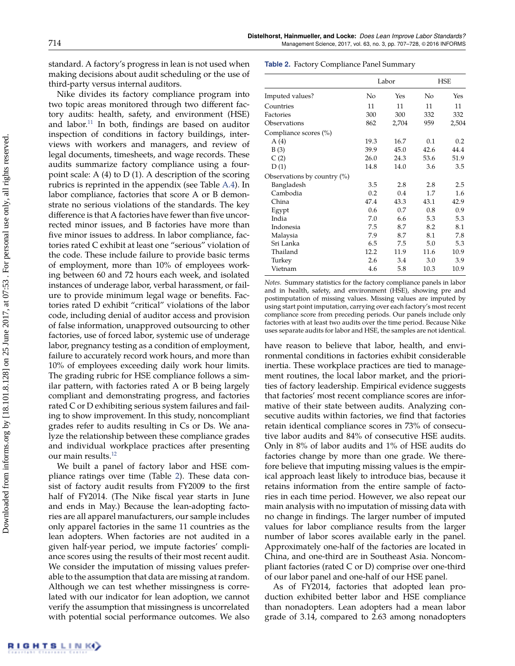standard. A factory's progress in lean is not used when making decisions about audit scheduling or the use of third-party versus internal auditors.

<span id="page-8-1"></span>Nike divides its factory compliance program into two topic areas monitored through two different factory audits: health, safety, and environment (HSE) and labor.<sup>[11](#page-20-20)</sup> In both, findings are based on auditor inspection of conditions in factory buildings, interviews with workers and managers, and review of legal documents, timesheets, and wage records. These audits summarize factory compliance using a fourpoint scale: A (4) to D (1). A description of the scoring rubrics is reprinted in the appendix (see Table [A.4\)](#page-18-0). In labor compliance, factories that score A or B demonstrate no serious violations of the standards. The key difference is that A factories have fewer than five uncorrected minor issues, and B factories have more than five minor issues to address. In labor compliance, factories rated C exhibit at least one "serious" violation of the code. These include failure to provide basic terms of employment, more than 10% of employees working between 60 and 72 hours each week, and isolated instances of underage labor, verbal harassment, or failure to provide minimum legal wage or benefits. Factories rated D exhibit "critical" violations of the labor code, including denial of auditor access and provision of false information, unapproved outsourcing to other factories, use of forced labor, systemic use of underage labor, pregnancy testing as a condition of employment, failure to accurately record work hours, and more than 10% of employees exceeding daily work hour limits. The grading rubric for HSE compliance follows a similar pattern, with factories rated A or B being largely compliant and demonstrating progress, and factories rated C or D exhibiting serious system failures and failing to show improvement. In this study, noncompliant grades refer to audits resulting in Cs or Ds. We analyze the relationship between these compliance grades and individual workplace practices after presenting our main results.<sup>[12](#page-20-21)</sup>

<span id="page-8-2"></span>We built a panel of factory labor and HSE compliance ratings over time (Table [2\)](#page-8-0). These data consist of factory audit results from FY2009 to the first half of FY2014. (The Nike fiscal year starts in June and ends in May.) Because the lean-adopting factories are all apparel manufacturers, our sample includes only apparel factories in the same 11 countries as the lean adopters. When factories are not audited in a given half-year period, we impute factories' compliance scores using the results of their most recent audit. We consider the imputation of missing values preferable to the assumption that data are missing at random. Although we can test whether missingness is correlated with our indicator for lean adoption, we cannot verify the assumption that missingness is uncorrelated with potential social performance outcomes. We also <span id="page-8-0"></span>**Table 2.** Factory Compliance Panel Summary

|                                |      | Labor |      | <b>HSE</b> |  |  |
|--------------------------------|------|-------|------|------------|--|--|
| Imputed values?                | No   | Yes   | No   | Yes        |  |  |
| Countries                      | 11   | 11    | 11   | 11         |  |  |
| Factories                      | 300  | 300   | 332  | 332        |  |  |
| Observations                   | 862  | 2,704 | 959  | 2,504      |  |  |
| Compliance scores (%)          |      |       |      |            |  |  |
| A(4)                           | 19.3 | 16.7  | 0.1  | 0.2        |  |  |
| B(3)                           | 39.9 | 45.0  | 42.6 | 44.4       |  |  |
| C(2)                           | 26.0 | 24.3  | 53.6 | 51.9       |  |  |
| D(1)                           | 14.8 | 14.0  | 3.6  | 3.5        |  |  |
| Observations by country $(\%)$ |      |       |      |            |  |  |
| Bangladesh                     | 3.5  | 2.8   | 2.8  | 2.5        |  |  |
| Cambodia                       | 0.2  | 0.4   | 1.7  | 1.6        |  |  |
| China                          | 47.4 | 43.3  | 43.1 | 42.9       |  |  |
| Egypt                          | 0.6  | 0.7   | 0.8  | 0.9        |  |  |
| India                          | 7.0  | 6.6   | 5.3  | 5.3        |  |  |
| Indonesia                      | 7.5  | 8.7   | 8.2  | 8.1        |  |  |
| Malaysia                       | 7.9  | 8.7   | 8.1  | 7.8        |  |  |
| Sri Lanka                      | 6.5  | 7.5   | 5.0  | 5.3        |  |  |
| Thailand                       | 12.2 | 11.9  | 11.6 | 10.9       |  |  |
| Turkey                         | 2.6  | 3.4   | 3.0  | 3.9        |  |  |
| Vietnam                        | 4.6  | 5.8   | 10.3 | 10.9       |  |  |

*Notes.* Summary statistics for the factory compliance panels in labor and in health, safety, and environment (HSE), showing pre and postimputation of missing values. Missing values are imputed by using start point imputation, carrying over each factory's most recent compliance score from preceding periods. Our panels include only factories with at least two audits over the time period. Because Nike uses separate audits for labor and HSE, the samples are not identical.

have reason to believe that labor, health, and environmental conditions in factories exhibit considerable inertia. These workplace practices are tied to management routines, the local labor market, and the priorities of factory leadership. Empirical evidence suggests that factories' most recent compliance scores are informative of their state between audits. Analyzing consecutive audits within factories, we find that factories retain identical compliance scores in 73% of consecutive labor audits and 84% of consecutive HSE audits. Only in 8% of labor audits and 1% of HSE audits do factories change by more than one grade. We therefore believe that imputing missing values is the empirical approach least likely to introduce bias, because it retains information from the entire sample of factories in each time period. However, we also repeat our main analysis with no imputation of missing data with no change in findings. The larger number of imputed values for labor compliance results from the larger number of labor scores available early in the panel. Approximately one-half of the factories are located in China, and one-third are in Southeast Asia. Noncompliant factories (rated C or D) comprise over one-third of our labor panel and one-half of our HSE panel.

As of FY2014, factories that adopted lean production exhibited better labor and HSE compliance than nonadopters. Lean adopters had a mean labor grade of 3.14, compared to 2.63 among nonadopters

Downloaded from informs.org by [18.101.8.128] on 25 June 2017, at 07:53 . For personal use only, all rights reserved. Downloaded from informs.org by [18.101.8.128] on 25 June 2017, at 07:53 . For personal use only, all rights reserved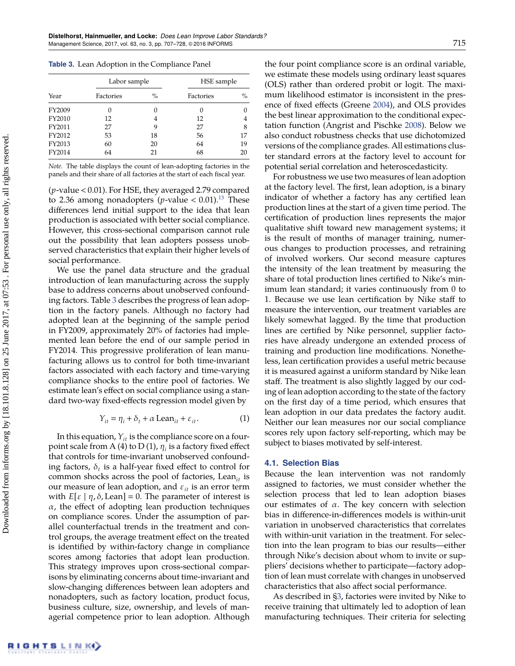<span id="page-9-0"></span>

|  | <b>Table 3.</b> Lean Adoption in the Compliance Panel |  |  |  |  |
|--|-------------------------------------------------------|--|--|--|--|
|--|-------------------------------------------------------|--|--|--|--|

|        | Labor sample |      | HSE sample |      |
|--------|--------------|------|------------|------|
| Year   | Factories    | $\%$ | Factories  | $\%$ |
| FY2009 | 0            | 0    | 0          |      |
| FY2010 | 12           | 4    | 12         | 4    |
| FY2011 | 27           | 9    | 27         | 8    |
| FY2012 | 53           | 18   | 56         | 17   |
| FY2013 | 60           | 20   | 64         | 19   |
| FY2014 | 64           | 21   | 68         | 20   |

*Note.* The table displays the count of lean-adopting factories in the panels and their share of all factories at the start of each fiscal year.

(*p*-value < 0.01). For HSE, they averaged 2.79 compared to 2.36 among nonadopters ( $p$ -value < 0.01).<sup>[13](#page-20-22)</sup> These differences lend initial support to the idea that lean production is associated with better social compliance. However, this cross-sectional comparison cannot rule out the possibility that lean adopters possess unobserved characteristics that explain their higher levels of social performance.

We use the panel data structure and the gradual introduction of lean manufacturing across the supply base to address concerns about unobserved confounding factors. Table [3](#page-9-0) describes the progress of lean adoption in the factory panels. Although no factory had adopted lean at the beginning of the sample period in FY2009, approximately 20% of factories had implemented lean before the end of our sample period in FY2014. This progressive proliferation of lean manufacturing allows us to control for both time-invariant factors associated with each factory and time-varying compliance shocks to the entire pool of factories. We estimate lean's effect on social compliance using a standard two-way fixed-effects regression model given by

$$
Y_{it} = \eta_i + \delta_t + \alpha \operatorname{Lean}_{it} + \varepsilon_{it}.
$$
 (1)

In this equation,  $Y_{it}$  is the compliance score on a fourpoint scale from A (4) to D (1)*,*  $\eta_i$  is a factory fixed effect that controls for time-invariant unobserved confounding factors,  $\delta_t$  is a half-year fixed effect to control for common shocks across the pool of factories, Lean*it* is our measure of lean adoption, and  $\varepsilon_{it}$  is an error term with  $E[\varepsilon | \eta, \delta, \text{Lean}] = 0$ . The parameter of interest is  $\alpha$ , the effect of adopting lean production techniques on compliance scores. Under the assumption of parallel counterfactual trends in the treatment and control groups, the average treatment effect on the treated is identified by within-factory change in compliance scores among factories that adopt lean production. This strategy improves upon cross-sectional comparisons by eliminating concerns about time-invariant and slow-changing differences between lean adopters and nonadopters, such as factory location, product focus, business culture, size, ownership, and levels of managerial competence prior to lean adoption. Although the four point compliance score is an ordinal variable, we estimate these models using ordinary least squares (OLS) rather than ordered probit or logit. The maximum likelihood estimator is inconsistent in the presence of fixed effects (Greene [2004\)](#page-21-42), and OLS provides the best linear approximation to the conditional expectation function (Angrist and Pischke [2008\)](#page-20-23). Below we also conduct robustness checks that use dichotomized versions of the compliance grades. All estimations cluster standard errors at the factory level to account for potential serial correlation and heteroscedasticity.

<span id="page-9-1"></span>For robustness we use two measures of lean adoption at the factory level. The first, lean adoption, is a binary indicator of whether a factory has any certified lean production lines at the start of a given time period. The certification of production lines represents the major qualitative shift toward new management systems; it is the result of months of manager training, numerous changes to production processes, and retraining of involved workers. Our second measure captures the intensity of the lean treatment by measuring the share of total production lines certified to Nike's minimum lean standard; it varies continuously from 0 to 1. Because we use lean certification by Nike staff to measure the intervention, our treatment variables are likely somewhat lagged. By the time that production lines are certified by Nike personnel, supplier factories have already undergone an extended process of training and production line modifications. Nonetheless, lean certification provides a useful metric because it is measured against a uniform standard by Nike lean staff. The treatment is also slightly lagged by our coding of lean adoption according to the state of the factory on the first day of a time period, which ensures that lean adoption in our data predates the factory audit. Neither our lean measures nor our social compliance scores rely upon factory self-reporting, which may be subject to biases motivated by self-interest.

#### **4.1. Selection Bias**

Because the lean intervention was not randomly assigned to factories, we must consider whether the selection process that led to lean adoption biases our estimates of  $\alpha$ . The key concern with selection bias in difference-in-differences models is within-unit variation in unobserved characteristics that correlates with within-unit variation in the treatment. For selection into the lean program to bias our results—either through Nike's decision about whom to invite or suppliers' decisions whether to participate—factory adoption of lean must correlate with changes in unobserved characteristics that also affect social performance.

As described in [§3,](#page-4-0) factories were invited by Nike to receive training that ultimately led to adoption of lean manufacturing techniques. Their criteria for selecting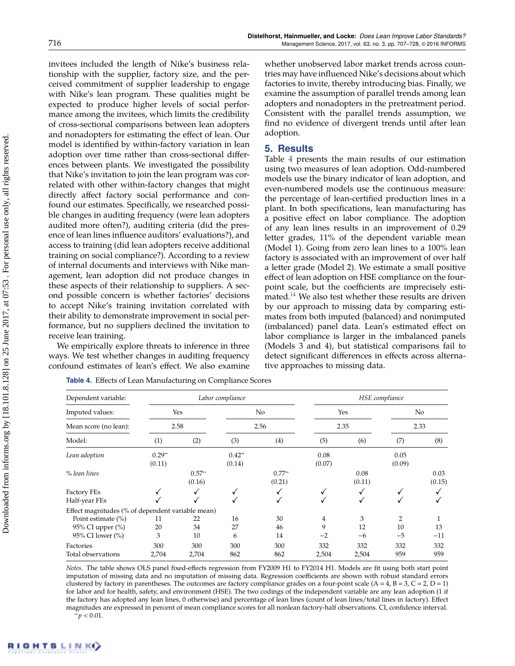invitees included the length of Nike's business relationship with the supplier, factory size, and the perceived commitment of supplier leadership to engage with Nike's lean program. These qualities might be expected to produce higher levels of social performance among the invitees, which limits the credibility of cross-sectional comparisons between lean adopters and nonadopters for estimating the effect of lean. Our model is identified by within-factory variation in lean adoption over time rather than cross-sectional differences between plants. We investigated the possibility that Nike's invitation to join the lean program was correlated with other within-factory changes that might directly affect factory social performance and confound our estimates. Specifically, we researched possible changes in auditing frequency (were lean adopters audited more often?), auditing criteria (did the presence of lean lines influence auditors' evaluations?), and access to training (did lean adopters receive additional training on social compliance?). According to a review of internal documents and interviews with Nike management, lean adoption did not produce changes in these aspects of their relationship to suppliers. A second possible concern is whether factories' decisions to accept Nike's training invitation correlated with their ability to demonstrate improvement in social performance, but no suppliers declined the invitation to receive lean training.

We empirically explore threats to inference in three ways. We test whether changes in auditing frequency confound estimates of lean's effect. We also examine

<span id="page-10-0"></span>**Table 4.** Effects of Lean Manufacturing on Compliance Scores

whether unobserved labor market trends across countries may have influenced Nike's decisions about which factories to invite, thereby introducing bias. Finally, we examine the assumption of parallel trends among lean adopters and nonadopters in the pretreatment period. Consistent with the parallel trends assumption, we find no evidence of divergent trends until after lean adoption.

# **5. Results**

<span id="page-10-1"></span>Table [4](#page-10-0) presents the main results of our estimation using two measures of lean adoption. Odd-numbered models use the binary indicator of lean adoption, and even-numbered models use the continuous measure: the percentage of lean-certified production lines in a plant. In both specifications, lean manufacturing has a positive effect on labor compliance. The adoption of any lean lines results in an improvement of 0.29 letter grades, 11% of the dependent variable mean (Model 1). Going from zero lean lines to a 100% lean factory is associated with an improvement of over half a letter grade (Model 2). We estimate a small positive effect of lean adoption on HSE compliance on the fourpoint scale, but the coefficients are imprecisely esti-mated.<sup>[14](#page-20-24)</sup> We also test whether these results are driven by our approach to missing data by comparing estimates from both imputed (balanced) and nonimputed (imbalanced) panel data. Lean's estimated effect on labor compliance is larger in the imbalanced panels (Models 3 and 4), but statistical comparisons fail to detect significant differences in effects across alternative approaches to missing data.

| Dependent variable:                              |                    | Labor compliance   |                    |                    |                |                | HSE compliance |                |  |
|--------------------------------------------------|--------------------|--------------------|--------------------|--------------------|----------------|----------------|----------------|----------------|--|
| Imputed values:                                  | No<br>Yes          |                    |                    |                    | Yes            | No             |                |                |  |
| Mean score (no lean):                            |                    | 2.58               |                    | 2.56               |                | 2.35           |                | 2.33           |  |
| Model:                                           | (1)                | (2)                | (3)                | (4)                | (5)            | (6)            | (7)            | (8)            |  |
| Lean adoption                                    | $0.29**$<br>(0.11) |                    | $0.42**$<br>(0.14) |                    | 0.08<br>(0.07) |                | 0.05<br>(0.09) |                |  |
| % lean lines                                     |                    | $0.57**$<br>(0.16) |                    | $0.77**$<br>(0.21) |                | 0.08<br>(0.11) |                | 0.03<br>(0.15) |  |
| <b>Factory FEs</b><br>Half-year FEs              |                    |                    |                    |                    |                |                |                |                |  |
| Effect magnitudes (% of dependent variable mean) |                    |                    |                    |                    |                |                |                |                |  |
| Point estimate (%)                               | 11                 | 22                 | 16                 | 30                 | 4              | 3              | $\overline{2}$ |                |  |
| 95% CI upper (%)                                 | 20                 | 34                 | 27                 | 46                 | 9              | 12             | 10             | 13             |  |
| 95% CI lower (%)                                 | 3                  | 10                 | 6                  | 14                 | $-2$           | -6             | $-5$           | $-11$          |  |
| Factories<br>Total observations                  | 300<br>2,704       | 300<br>2,704       | 300<br>862         | 300<br>862         | 332<br>2,504   | 332<br>2,504   | 332<br>959     | 332<br>959     |  |

*Notes.* The table shows OLS panel fixed-effects regression from FY2009 H1 to FY2014 H1. Models are fit using both start point imputation of missing data and no imputation of missing data. Regression coefficients are shown with robust standard errors clustered by factory in parentheses. The outcomes are factory compliance grades on a four-point scale  $(A = 4, B = 3, C = 2, D = 1)$ for labor and for health, safety, and environment (HSE). The two codings of the independent variable are any lean adoption (1 if the factory has adopted any lean lines, 0 otherwise) and percentage of lean lines (count of lean lines/total lines in factory). Effect magnitudes are expressed in percent of mean compliance scores for all nonlean factory-half observations. CI, confidence interval.

∗∗*p* < 0.01.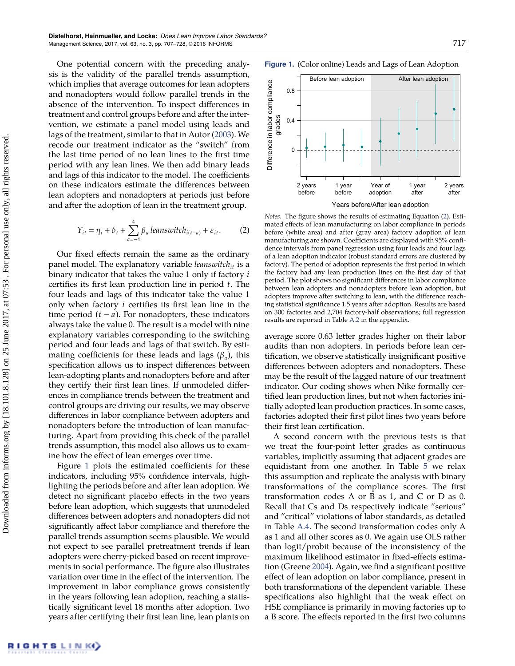One potential concern with the preceding analysis is the validity of the parallel trends assumption, which implies that average outcomes for lean adopters and nonadopters would follow parallel trends in the absence of the intervention. To inspect differences in treatment and control groups before and after the intervention, we estimate a panel model using leads and lags of the treatment, similar to that in Autor [\(2003\)](#page-20-25). We recode our treatment indicator as the "switch" from the last time period of no lean lines to the first time period with any lean lines. We then add binary leads and lags of this indicator to the model. The coefficients on these indicators estimate the differences between lean adopters and nonadopters at periods just before and after the adoption of lean in the treatment group.

<span id="page-11-1"></span>
$$
Y_{it} = \eta_i + \delta_t + \sum_{a=-4}^{4} \beta_a \text{ leanswitch}_{i(t-a)} + \varepsilon_{it}.
$$
 (2)

Our fixed effects remain the same as the ordinary panel model. The explanatory variable *leanswitch*<sub>*it*</sub> is a binary indicator that takes the value 1 only if factory *i* certifies its first lean production line in period *t*. The four leads and lags of this indicator take the value 1 only when factory *i* certifies its first lean line in the time period  $(t - a)$ . For nonadopters, these indicators always take the value 0. The result is a model with nine explanatory variables corresponding to the switching period and four leads and lags of that switch. By estimating coefficients for these leads and lags (β*<sup>a</sup>* ), this specification allows us to inspect differences between lean-adopting plants and nonadopters before and after they certify their first lean lines. If unmodeled differences in compliance trends between the treatment and control groups are driving our results, we may observe differences in labor compliance between adopters and nonadopters before the introduction of lean manufacturing. Apart from providing this check of the parallel trends assumption, this model also allows us to examine how the effect of lean emerges over time.

Figure [1](#page-11-0) plots the estimated coefficients for these indicators, including 95% confidence intervals, highlighting the periods before and after lean adoption. We detect no significant placebo effects in the two years before lean adoption, which suggests that unmodeled differences between adopters and nonadopters did not significantly affect labor compliance and therefore the parallel trends assumption seems plausible. We would not expect to see parallel pretreatment trends if lean adopters were cherry-picked based on recent improvements in social performance. The figure also illustrates variation over time in the effect of the intervention. The improvement in labor compliance grows consistently in the years following lean adoption, reaching a statistically significant level 18 months after adoption. Two years after certifying their first lean line, lean plants on

<span id="page-11-0"></span>



*Notes.* The figure shows the results of estimating Equation [\(2\)](#page-11-1). Estimated effects of lean manufacturing on labor compliance in periods before (white area) and after (gray area) factory adoption of lean manufacturing are shown. Coefficients are displayed with 95% confidence intervals from panel regression using four leads and four lags of a lean adoption indicator (robust standard errors are clustered by factory). The period of adoption represents the first period in which the factory had any lean production lines on the first day of that period. The plot shows no significant differences in labor compliance between lean adopters and nonadopters before lean adoption, but adopters improve after switching to lean, with the difference reaching statistical significance 1.5 years after adoption. Results are based on 300 factories and 2,704 factory-half observations; full regression results are reported in Table [A.2](#page-17-0) in the appendix.

average score 0.63 letter grades higher on their labor audits than non adopters. In periods before lean certification, we observe statistically insignificant positive differences between adopters and nonadopters. These may be the result of the lagged nature of our treatment indicator. Our coding shows when Nike formally certified lean production lines, but not when factories initially adopted lean production practices. In some cases, factories adopted their first pilot lines two years before their first lean certification.

A second concern with the previous tests is that we treat the four-point letter grades as continuous variables, implicitly assuming that adjacent grades are equidistant from one another. In Table [5](#page-12-0) we relax this assumption and replicate the analysis with binary transformations of the compliance scores. The first transformation codes A or B as 1, and C or D as 0. Recall that Cs and Ds respectively indicate "serious" and "critical" violations of labor standards, as detailed in Table [A.4.](#page-18-0) The second transformation codes only A as 1 and all other scores as 0. We again use OLS rather than logit/probit because of the inconsistency of the maximum likelihood estimator in fixed-effects estimation (Greene [2004\)](#page-21-42). Again, we find a significant positive effect of lean adoption on labor compliance, present in both transformations of the dependent variable. These specifications also highlight that the weak effect on HSE compliance is primarily in moving factories up to a B score. The effects reported in the first two columns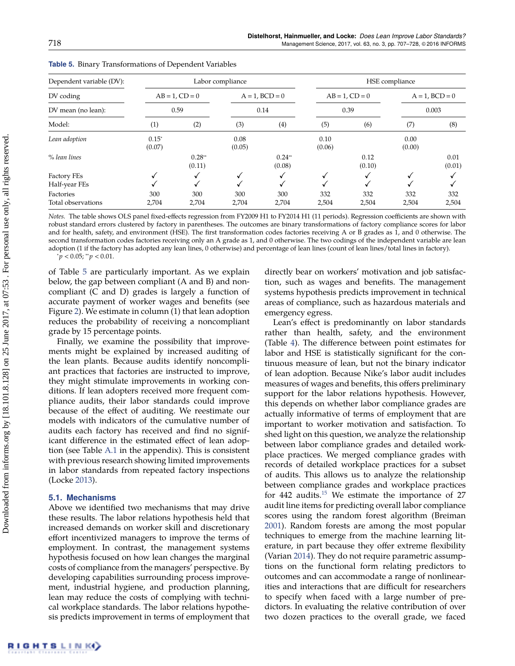| Dependent variable (DV):        | Labor compliance  |                     |                     |                    |                     | HSE compliance |                     |                |
|---------------------------------|-------------------|---------------------|---------------------|--------------------|---------------------|----------------|---------------------|----------------|
| DV coding                       |                   | $AB = 1$ , $CD = 0$ | $A = 1$ , $BCD = 0$ |                    | $AB = 1$ , $CD = 0$ |                | $A = 1$ , $BCD = 0$ |                |
| DV mean (no lean):              |                   | 0.59                |                     | 0.39<br>0.14       |                     |                |                     | 0.003          |
| Model:                          | (1)               | (2)                 | (3)                 | (4)                | (5)                 | (6)            | (7)                 | (8)            |
| Lean adoption                   | $0.15*$<br>(0.07) |                     | 0.08<br>(0.05)      |                    | 0.10<br>(0.06)      |                | 0.00<br>(0.00)      |                |
| % lean lines                    |                   | $0.28**$<br>(0.11)  |                     | $0.24**$<br>(0.08) |                     | 0.12<br>(0.10) |                     | 0.01<br>(0.01) |
| Factory FEs<br>Half-year FEs    |                   |                     | √                   |                    |                     |                |                     | v              |
| Factories<br>Total observations | 300<br>2,704      | 300<br>2,704        | 300<br>2,704        | 300<br>2,704       | 332<br>2,504        | 332<br>2,504   | 332<br>2,504        | 332<br>2,504   |

<span id="page-12-0"></span>**Table 5.** Binary Transformations of Dependent Variables

*Notes.* The table shows OLS panel fixed-effects regression from FY2009 H1 to FY2014 H1 (11 periods). Regression coefficients are shown with robust standard errors clustered by factory in parentheses. The outcomes are binary transformations of factory compliance scores for labor and for health, safety, and environment (HSE). The first transformation codes factories receiving A or B grades as 1, and 0 otherwise. The second transformation codes factories receiving only an A grade as 1, and 0 otherwise. The two codings of the independent variable are lean adoption (1 if the factory has adopted any lean lines, 0 otherwise) and percentage of lean lines (count of lean lines/total lines in factory).  $\hat{p}$  < 0.05; \*\* *p* < 0.01.

of Table [5](#page-12-0) are particularly important. As we explain below, the gap between compliant (A and B) and noncompliant (C and D) grades is largely a function of accurate payment of worker wages and benefits (see Figure [2\)](#page-13-0). We estimate in column (1) that lean adoption reduces the probability of receiving a noncompliant grade by 15 percentage points.

Finally, we examine the possibility that improvements might be explained by increased auditing of the lean plants. Because audits identify noncompliant practices that factories are instructed to improve, they might stimulate improvements in working conditions. If lean adopters received more frequent compliance audits, their labor standards could improve because of the effect of auditing. We reestimate our models with indicators of the cumulative number of audits each factory has received and find no significant difference in the estimated effect of lean adoption (see Table [A.1](#page-16-0) in the appendix). This is consistent with previous research showing limited improvements in labor standards from repeated factory inspections (Locke [2013\)](#page-21-5).

#### **5.1. Mechanisms**

Above we identified two mechanisms that may drive these results. The labor relations hypothesis held that increased demands on worker skill and discretionary effort incentivized managers to improve the terms of employment. In contrast, the management systems hypothesis focused on how lean changes the marginal costs of compliance from the managers' perspective. By developing capabilities surrounding process improvement, industrial hygiene, and production planning, lean may reduce the costs of complying with technical workplace standards. The labor relations hypothesis predicts improvement in terms of employment that directly bear on workers' motivation and job satisfaction, such as wages and benefits. The management systems hypothesis predicts improvement in technical areas of compliance, such as hazardous materials and emergency egress.

<span id="page-12-1"></span>Lean's effect is predominantly on labor standards rather than health, safety, and the environment (Table [4\)](#page-10-0). The difference between point estimates for labor and HSE is statistically significant for the continuous measure of lean, but not the binary indicator of lean adoption. Because Nike's labor audit includes measures of wages and benefits, this offers preliminary support for the labor relations hypothesis. However, this depends on whether labor compliance grades are actually informative of terms of employment that are important to worker motivation and satisfaction. To shed light on this question, we analyze the relationship between labor compliance grades and detailed workplace practices. We merged compliance grades with records of detailed workplace practices for a subset of audits. This allows us to analyze the relationship between compliance grades and workplace practices for  $442$  audits.<sup>[15](#page-20-26)</sup> We estimate the importance of 27 audit line items for predicting overall labor compliance scores using the random forest algorithm (Breiman [2001\)](#page-21-43). Random forests are among the most popular techniques to emerge from the machine learning literature, in part because they offer extreme flexibility (Varian [2014\)](#page-22-28). They do not require parametric assumptions on the functional form relating predictors to outcomes and can accommodate a range of nonlinearities and interactions that are difficult for researchers to specify when faced with a large number of predictors. In evaluating the relative contribution of over two dozen practices to the overall grade, we faced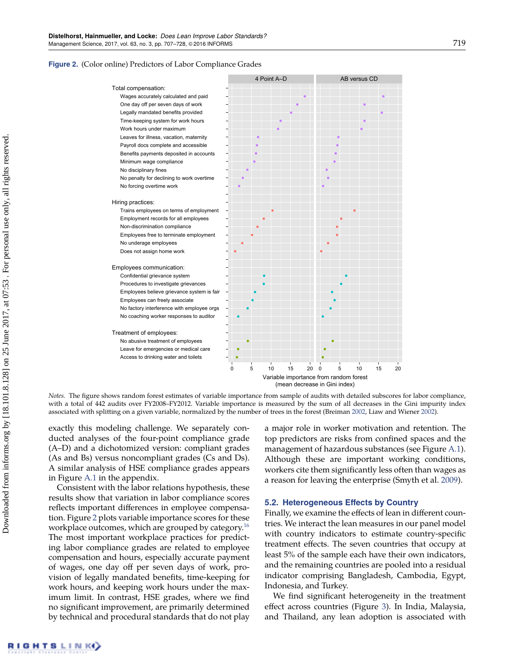

<span id="page-13-0"></span>

*Notes.* The figure shows random forest estimates of variable importance from sample of audits with detailed subscores for labor compliance, with a total of 442 audits over FY2008–FY2012. Variable importance is measured by the sum of all decreases in the Gini impurity index associated with splitting on a given variable, normalized by the number of trees in the forest (Breiman [2002,](#page-21-44) Liaw and Wiener [2002\)](#page-21-45).

exactly this modeling challenge. We separately conducted analyses of the four-point compliance grade (A–D) and a dichotomized version: compliant grades (As and Bs) versus noncompliant grades (Cs and Ds). A similar analysis of HSE compliance grades appears in Figure [A.1](#page-19-0) in the appendix.

Consistent with the labor relations hypothesis, these results show that variation in labor compliance scores reflects important differences in employee compensation. Figure [2](#page-13-0) plots variable importance scores for these workplace outcomes, which are grouped by category.<sup>[16](#page-20-27)</sup> The most important workplace practices for predicting labor compliance grades are related to employee compensation and hours, especially accurate payment of wages, one day off per seven days of work, provision of legally mandated benefits, time-keeping for work hours, and keeping work hours under the maximum limit. In contrast, HSE grades, where we find no significant improvement, are primarily determined by technical and procedural standards that do not play a major role in worker motivation and retention. The top predictors are risks from confined spaces and the management of hazardous substances (see Figure [A.1\)](#page-19-0). Although these are important working conditions, workers cite them significantly less often than wages as a reason for leaving the enterprise (Smyth et al. [2009\)](#page-22-26).

#### **5.2. Heterogeneous Effects by Country**

<span id="page-13-1"></span>Finally, we examine the effects of lean in different countries. We interact the lean measures in our panel model with country indicators to estimate country-specific treatment effects. The seven countries that occupy at least 5% of the sample each have their own indicators, and the remaining countries are pooled into a residual indicator comprising Bangladesh, Cambodia, Egypt, Indonesia, and Turkey.

We find significant heterogeneity in the treatment effect across countries (Figure [3\)](#page-14-0). In India, Malaysia, and Thailand, any lean adoption is associated with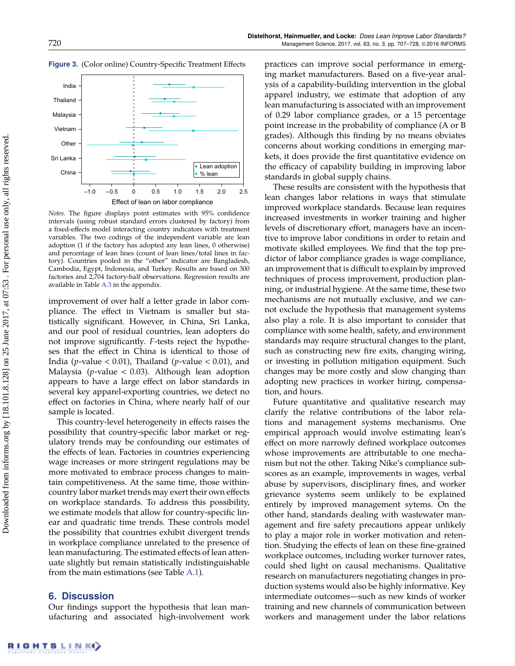<span id="page-14-0"></span>

### **Figure 3.** (Color online) Country-Specific Treatment Effects

*Notes.* The figure displays point estimates with 95% confidence intervals (using robust standard errors clustered by factory) from a fixed-effects model interacting country indicators with treatment variables. The two codings of the independent variable are lean adoption (1 if the factory has adopted any lean lines, 0 otherwise) and percentage of lean lines (count of lean lines/total lines in factory). Countries pooled in the "other" indicator are Bangladesh, Cambodia, Egypt, Indonesia, and Turkey. Results are based on 300 factories and 2,704 factory-half observations. Regression results are available in Table [A.3](#page-17-1) in the appendix.

improvement of over half a letter grade in labor compliance. The effect in Vietnam is smaller but statistically significant. However, in China, Sri Lanka, and our pool of residual countries, lean adopters do not improve significantly. *F*-tests reject the hypotheses that the effect in China is identical to those of India (*p*-value < 0.01), Thailand (*p*-value < 0.01), and Malaysia (*p*-value < 0.03). Although lean adoption appears to have a large effect on labor standards in several key apparel-exporting countries, we detect no effect on factories in China, where nearly half of our sample is located.

This country-level heterogeneity in effects raises the possibility that country-specific labor market or regulatory trends may be confounding our estimates of the effects of lean. Factories in countries experiencing wage increases or more stringent regulations may be more motivated to embrace process changes to maintain competitiveness. At the same time, those withincountry labor market trends may exert their own effects on workplace standards. To address this possibility, we estimate models that allow for country-specific linear and quadratic time trends. These controls model the possibility that countries exhibit divergent trends in workplace compliance unrelated to the presence of lean manufacturing. The estimated effects of lean attenuate slightly but remain statistically indistinguishable from the main estimations (see Table [A.1\)](#page-16-0).

### **6. Discussion**

Our findings support the hypothesis that lean manufacturing and associated high-involvement work practices can improve social performance in emerging market manufacturers. Based on a five-year analysis of a capability-building intervention in the global apparel industry, we estimate that adoption of any lean manufacturing is associated with an improvement of 0.29 labor compliance grades, or a 15 percentage point increase in the probability of compliance (A or B grades). Although this finding by no means obviates concerns about working conditions in emerging markets, it does provide the first quantitative evidence on the efficacy of capability building in improving labor standards in global supply chains.

These results are consistent with the hypothesis that lean changes labor relations in ways that stimulate improved workplace standards. Because lean requires increased investments in worker training and higher levels of discretionary effort, managers have an incentive to improve labor conditions in order to retain and motivate skilled employees. We find that the top predictor of labor compliance grades is wage compliance, an improvement that is difficult to explain by improved techniques of process improvement, production planning, or industrial hygiene. At the same time, these two mechanisms are not mutually exclusive, and we cannot exclude the hypothesis that management systems also play a role. It is also important to consider that compliance with some health, safety, and environment standards may require structural changes to the plant, such as constructing new fire exits, changing wiring, or investing in pollution mitigation equipment. Such changes may be more costly and slow changing than adopting new practices in worker hiring, compensation, and hours.

Future quantitative and qualitative research may clarify the relative contributions of the labor relations and management systems mechanisms. One empirical approach would involve estimating lean's effect on more narrowly defined workplace outcomes whose improvements are attributable to one mechanism but not the other. Taking Nike's compliance subscores as an example, improvements in wages, verbal abuse by supervisors, disciplinary fines, and worker grievance systems seem unlikely to be explained entirely by improved management sytems. On the other hand, standards dealing with wastewater management and fire safety precautions appear unlikely to play a major role in worker motivation and retention. Studying the effects of lean on these fine-grained workplace outcomes, including worker turnover rates, could shed light on causal mechanisms. Qualitative research on manufacturers negotiating changes in production systems would also be highly informative. Key intermediate outcomes—such as new kinds of worker training and new channels of communication between workers and management under the labor relations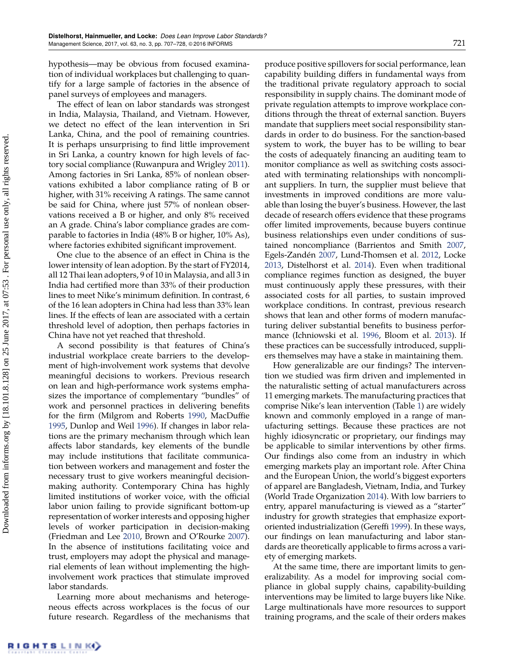hypothesis—may be obvious from focused examination of individual workplaces but challenging to quantify for a large sample of factories in the absence of panel surveys of employees and managers.

The effect of lean on labor standards was strongest in India, Malaysia, Thailand, and Vietnam. However, we detect no effect of the lean intervention in Sri Lanka, China, and the pool of remaining countries. It is perhaps unsurprising to find little improvement in Sri Lanka, a country known for high levels of factory social compliance (Ruwanpura and Wrigley [2011\)](#page-22-16). Among factories in Sri Lanka, 85% of nonlean observations exhibited a labor compliance rating of B or higher, with 31% receiving A ratings. The same cannot be said for China, where just 57% of nonlean observations received a B or higher, and only 8% received an A grade. China's labor compliance grades are comparable to factories in India (48% B or higher, 10% As), where factories exhibited significant improvement.

One clue to the absence of an effect in China is the lower intensity of lean adoption. By the start of FY2014, all 12 Thai lean adopters, 9 of 10 in Malaysia, and all 3 in India had certified more than 33% of their production lines to meet Nike's minimum definition. In contrast, 6 of the 16 lean adopters in China had less than 33% lean lines. If the effects of lean are associated with a certain threshold level of adoption, then perhaps factories in China have not yet reached that threshold.

A second possibility is that features of China's industrial workplace create barriers to the development of high-involvement work systems that devolve meaningful decisions to workers. Previous research on lean and high-performance work systems emphasizes the importance of complementary "bundles" of work and personnel practices in delivering benefits for the firm (Milgrom and Roberts [1990,](#page-21-46) MacDuffie [1995,](#page-21-17) Dunlop and Weil [1996\)](#page-21-18). If changes in labor relations are the primary mechanism through which lean affects labor standards, key elements of the bundle may include institutions that facilitate communication between workers and management and foster the necessary trust to give workers meaningful decisionmaking authority. Contemporary China has highly limited institutions of worker voice, with the official labor union failing to provide significant bottom-up representation of worker interests and opposing higher levels of worker participation in decision-making (Friedman and Lee [2010,](#page-21-47) Brown and O'Rourke [2007\)](#page-21-40). In the absence of institutions facilitating voice and trust, employers may adopt the physical and managerial elements of lean without implementing the highinvolvement work practices that stimulate improved labor standards.

Learning more about mechanisms and heterogeneous effects across workplaces is the focus of our future research. Regardless of the mechanisms that produce positive spillovers for social performance, lean capability building differs in fundamental ways from the traditional private regulatory approach to social responsibility in supply chains. The dominant mode of private regulation attempts to improve workplace conditions through the threat of external sanction. Buyers mandate that suppliers meet social responsibility standards in order to do business. For the sanction-based system to work, the buyer has to be willing to bear the costs of adequately financing an auditing team to monitor compliance as well as switching costs associated with terminating relationships with noncompliant suppliers. In turn, the supplier must believe that investments in improved conditions are more valuable than losing the buyer's business. However, the last decade of research offers evidence that these programs offer limited improvements, because buyers continue business relationships even under conditions of sustained noncompliance (Barrientos and Smith [2007,](#page-20-2) Egels-Zandén [2007,](#page-21-6) Lund-Thomsen et al. [2012,](#page-21-8) Locke [2013,](#page-21-5) Distelhorst et al. [2014\)](#page-21-32). Even when traditional compliance regimes function as designed, the buyer must continuously apply these pressures, with their associated costs for all parties, to sustain improved workplace conditions. In contrast, previous research shows that lean and other forms of modern manufacturing deliver substantial benefits to business performance (Ichniowski et al. [1996,](#page-21-48) Bloom et al. [2013\)](#page-21-20). If these practices can be successfully introduced, suppliers themselves may have a stake in maintaining them.

How generalizable are our findings? The intervention we studied was firm driven and implemented in the naturalistic setting of actual manufacturers across 11 emerging markets. The manufacturing practices that comprise Nike's lean intervention (Table [1\)](#page-5-0) are widely known and commonly employed in a range of manufacturing settings. Because these practices are not highly idiosyncratic or proprietary, our findings may be applicable to similar interventions by other firms. Our findings also come from an industry in which emerging markets play an important role. After China and the European Union, the world's biggest exporters of apparel are Bangladesh, Vietnam, India, and Turkey (World Trade Organization [2014\)](#page-22-29). With low barriers to entry, apparel manufacturing is viewed as a "starter" industry for growth strategies that emphasize exportoriented industrialization (Gereffi [1999\)](#page-21-13). In these ways, our findings on lean manufacturing and labor standards are theoretically applicable to firms across a variety of emerging markets.

At the same time, there are important limits to generalizability. As a model for improving social compliance in global supply chains, capability-building interventions may be limited to large buyers like Nike. Large multinationals have more resources to support training programs, and the scale of their orders makes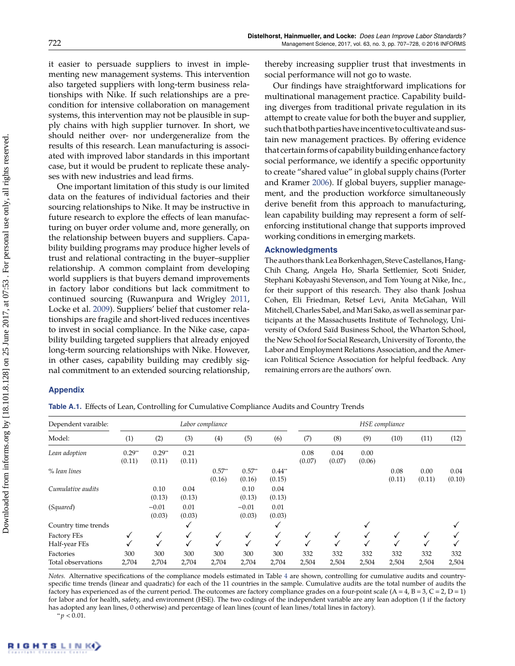it easier to persuade suppliers to invest in implementing new management systems. This intervention also targeted suppliers with long-term business relationships with Nike. If such relationships are a precondition for intensive collaboration on management systems, this intervention may not be plausible in supply chains with high supplier turnover. In short, we should neither over- nor undergeneralize from the results of this research. Lean manufacturing is associated with improved labor standards in this important case, but it would be prudent to replicate these analyses with new industries and lead firms.

One important limitation of this study is our limited data on the features of individual factories and their sourcing relationships to Nike. It may be instructive in future research to explore the effects of lean manufacturing on buyer order volume and, more generally, on the relationship between buyers and suppliers. Capability building programs may produce higher levels of trust and relational contracting in the buyer–supplier relationship. A common complaint from developing world suppliers is that buyers demand improvements in factory labor conditions but lack commitment to continued sourcing (Ruwanpura and Wrigley [2011,](#page-22-16) Locke et al. [2009\)](#page-21-38). Suppliers' belief that customer relationships are fragile and short-lived reduces incentives to invest in social compliance. In the Nike case, capability building targeted suppliers that already enjoyed long-term sourcing relationships with Nike. However, in other cases, capability building may credibly signal commitment to an extended sourcing relationship, thereby increasing supplier trust that investments in social performance will not go to waste.

Our findings have straightforward implications for multinational management practice. Capability building diverges from traditional private regulation in its attempt to create value for both the buyer and supplier, such thatbothpartieshaveincentive tocultivate and sustain new management practices. By offering evidence that certain forms of capability building enhance factory social performance, we identify a specific opportunity to create "shared value" in global supply chains (Porter and Kramer [2006\)](#page-22-0). If global buyers, supplier management, and the production workforce simultaneously derive benefit from this approach to manufacturing, lean capability building may represent a form of selfenforcing institutional change that supports improved working conditions in emerging markets.

#### **Acknowledgments**

The authors thank Lea Borkenhagen, Steve Castellanos, Hang-Chih Chang, Angela Ho, Sharla Settlemier, Scoti Snider, Stephani Kobayashi Stevenson, and Tom Young at Nike, Inc., for their support of this research. They also thank Joshua Cohen, Eli Friedman, Retsef Levi, Anita McGahan, Will Mitchell, Charles Sabel, and Mari Sako, as well as seminar participants at the Massachusetts Institute of Technology, University of Oxford Saïd Business School, the Wharton School, the New School for Social Research, University of Toronto, the Labor and Employment Relations Association, and the American Political Science Association for helpful feedback. Any remaining errors are the authors' own.

#### **Appendix**

<span id="page-16-0"></span>**Table A.1.** Effects of Lean, Controlling for Cumulative Compliance Audits and Country Trends

| Dependent varaible:                 | Labor compliance   |                    |                |                    | HSE compliance     |                    |                |                |                |                |                |                |
|-------------------------------------|--------------------|--------------------|----------------|--------------------|--------------------|--------------------|----------------|----------------|----------------|----------------|----------------|----------------|
| Model:                              | (1)                | (2)                | (3)            | (4)                | (5)                | (6)                | (7)            | (8)            | (9)            | (10)           | (11)           | (12)           |
| Lean adoption                       | $0.29**$<br>(0.11) | $0.29**$<br>(0.11) | 0.21<br>(0.11) |                    |                    |                    | 0.08<br>(0.07) | 0.04<br>(0.07) | 0.00<br>(0.06) |                |                |                |
| % lean lines                        |                    |                    |                | $0.57**$<br>(0.16) | $0.57**$<br>(0.16) | $0.44**$<br>(0.15) |                |                |                | 0.08<br>(0.11) | 0.00<br>(0.11) | 0.04<br>(0.10) |
| Cumulative audits                   |                    | 0.10<br>(0.13)     | 0.04<br>(0.13) |                    | 0.10<br>(0.13)     | 0.04<br>(0.13)     |                |                |                |                |                |                |
| (Squared)                           |                    | $-0.01$<br>(0.03)  | 0.01<br>(0.03) |                    | $-0.01$<br>(0.03)  | 0.01<br>(0.03)     |                |                |                |                |                |                |
| Country time trends                 |                    |                    |                |                    |                    |                    |                |                |                |                |                |                |
| <b>Factory FEs</b><br>Half-year FEs | ✓                  | √                  | ✓              | √                  | √                  | √                  | √<br>√         | v              |                | v<br>√         |                |                |
| Factories<br>Total observations     | 300<br>2,704       | 300<br>2,704       | 300<br>2,704   | 300<br>2,704       | 300<br>2,704       | 300<br>2,704       | 332<br>2,504   | 332<br>2,504   | 332<br>2,504   | 332<br>2,504   | 332<br>2,504   | 332<br>2,504   |

*Notes.* Alternative specifications of the compliance models estimated in Table [4](#page-10-0) are shown, controlling for cumulative audits and countryspecific time trends (linear and quadratic) for each of the 11 countries in the sample. Cumulative audits are the total number of audits the factory has experienced as of the current period. The outcomes are factory compliance grades on a four-point scale  $(A = 4, B = 3, C = 2, D = 1)$ for labor and for health, safety, and environment (HSE). The two codings of the independent variable are any lean adoption (1 if the factory has adopted any lean lines, 0 otherwise) and percentage of lean lines (count of lean lines/total lines in factory).

∗∗*p* < 0.01.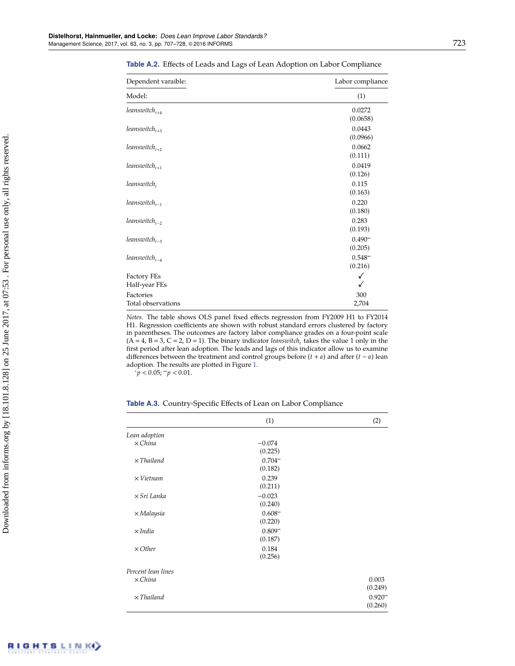| Dependent varaible:                 | Labor compliance     |
|-------------------------------------|----------------------|
| Model:                              | (1)                  |
| $leans witht+4$                     | 0.0272<br>(0.0658)   |
| leanswitch <sub>t+3</sub>           | 0.0443<br>(0.0966)   |
| leanswitch <sub>t+2</sub>           | 0.0662<br>(0.111)    |
| leanswitch <sub>t+1</sub>           | 0.0419<br>(0.126)    |
| leanswitch,                         | 0.115<br>(0.163)     |
| leanswitch <sub>t-1</sub>           | 0.220<br>(0.180)     |
| leanswitch $_{t-2}$                 | 0.283<br>(0.193)     |
| leanswitch <sub>t-3</sub>           | $0.490**$<br>(0.205) |
| leanswitch <sub>t-4</sub>           | $0.548**$<br>(0.216) |
| <b>Factory FEs</b><br>Half-year FEs | ✓<br>✓               |
| Factories<br>Total observations     | 300<br>2,704         |

<span id="page-17-0"></span>**Table A.2.** Effects of Leads and Lags of Lean Adoption on Labor Compliance

*Notes.* The table shows OLS panel fixed effects regression from FY2009 H1 to FY2014 H1. Regression coefficients are shown with robust standard errors clustered by factory in parentheses. The outcomes are factory labor compliance grades on a four-point scale  $(A = 4, B = 3, C = 2, D = 1)$ . The binary indicator *leanswitch*<sub>t</sub> takes the value 1 only in the first period after lean adoption. The leads and lags of this indicator allow us to examine differences between the treatment and control groups before (*t* + *a*) and after (*t* − *a*) lean adoption. The results are plotted in Figure [1.](#page-11-0)

 $\hat{p}$  < 0.05; \*\* *p* < 0.01.

<span id="page-17-1"></span>

| <b>Table A.3.</b> Country-Specific Effects of Lean on Labor Compliance |  |
|------------------------------------------------------------------------|--|
|------------------------------------------------------------------------|--|

|                    | (1)                  | (2)                  |
|--------------------|----------------------|----------------------|
| Lean adoption      |                      |                      |
| $\times$ China     | $-0.074$<br>(0.225)  |                      |
| $\times$ Thailand  | $0.704**$<br>(0.182) |                      |
| $\times$ Vietnam   | 0.239<br>(0.211)     |                      |
| $\times$ Sri Lanka | $-0.023$<br>(0.240)  |                      |
| $\times$ Malaysia  | $0.608**$<br>(0.220) |                      |
| $\times$ India     | $0.809**$<br>(0.187) |                      |
| $\times$ Other     | 0.184<br>(0.256)     |                      |
| Percent lean lines |                      |                      |
| $\times$ China     |                      | 0.003<br>(0.249)     |
| $\times$ Thailand  |                      | $0.920**$<br>(0.260) |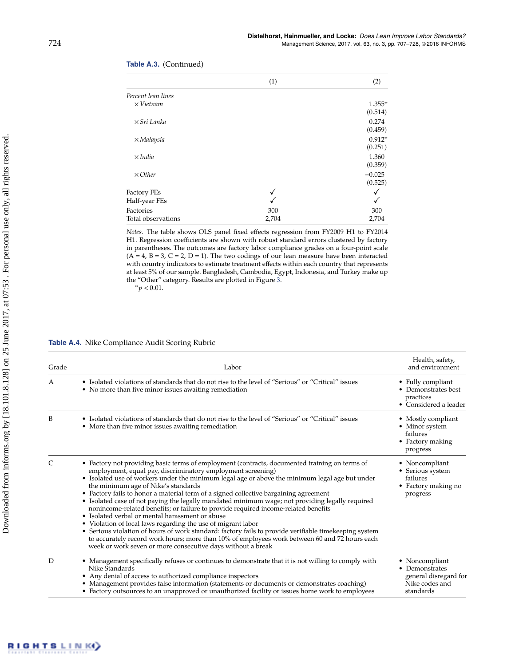| (1)   | (2)       |
|-------|-----------|
|       |           |
|       | 1.355**   |
|       | (0.514)   |
|       | 0.274     |
|       | (0.459)   |
|       | $0.912**$ |
|       | (0.251)   |
|       | 1.360     |
|       | (0.359)   |
|       | $-0.025$  |
|       | (0.525)   |
|       |           |
|       |           |
| 300   | 300       |
| 2,704 | 2,704     |
|       |           |

#### **Table A.3.** (Continued)

*Notes.* The table shows OLS panel fixed effects regression from FY2009 H1 to FY2014 H1. Regression coefficients are shown with robust standard errors clustered by factory in parentheses. The outcomes are factory labor compliance grades on a four-point scale  $(A = 4, B = 3, C = 2, D = 1)$ . The two codings of our lean measure have been interacted with country indicators to estimate treatment effects within each country that represents at least 5% of our sample. Bangladesh, Cambodia, Egypt, Indonesia, and Turkey make up the "Other" category. Results are plotted in Figure [3.](#page-14-0)

∗∗*p* < 0.01.

<span id="page-18-0"></span>**Table A.4.** Nike Compliance Audit Scoring Rubric

| Grade | Labor                                                                                                                                                                                                                                                                                                                                                                                                                                                                                                                                                                                                                                                                                                                                                                                                                                                                                                                                                                              | Health, safety,<br>and environment                                                       |
|-------|------------------------------------------------------------------------------------------------------------------------------------------------------------------------------------------------------------------------------------------------------------------------------------------------------------------------------------------------------------------------------------------------------------------------------------------------------------------------------------------------------------------------------------------------------------------------------------------------------------------------------------------------------------------------------------------------------------------------------------------------------------------------------------------------------------------------------------------------------------------------------------------------------------------------------------------------------------------------------------|------------------------------------------------------------------------------------------|
| A     | • Isolated violations of standards that do not rise to the level of "Serious" or "Critical" issues<br>• No more than five minor issues awaiting remediation                                                                                                                                                                                                                                                                                                                                                                                                                                                                                                                                                                                                                                                                                                                                                                                                                        | • Fully compliant<br>• Demonstrates best<br>practices<br>• Considered a leader           |
| B     | • Isolated violations of standards that do not rise to the level of "Serious" or "Critical" issues<br>• More than five minor issues awaiting remediation                                                                                                                                                                                                                                                                                                                                                                                                                                                                                                                                                                                                                                                                                                                                                                                                                           | • Mostly compliant<br>• Minor system<br>failures<br>• Factory making<br>progress         |
|       | • Factory not providing basic terms of employment (contracts, documented training on terms of<br>employment, equal pay, discriminatory employment screening)<br>• Isolated use of workers under the minimum legal age or above the minimum legal age but under<br>the minimum age of Nike's standards<br>• Factory fails to honor a material term of a signed collective bargaining agreement<br>• Isolated case of not paying the legally mandated minimum wage; not providing legally required<br>nonincome-related benefits; or failure to provide required income-related benefits<br>• Isolated verbal or mental harassment or abuse<br>• Violation of local laws regarding the use of migrant labor<br>• Serious violation of hours of work standard: factory fails to provide verifiable timekeeping system<br>to accurately record work hours; more than 10% of employees work between 60 and 72 hours each<br>week or work seven or more consecutive days without a break | • Noncompliant<br>• Serious system<br>failures<br>• Factory making no<br>progress        |
| D     | • Management specifically refuses or continues to demonstrate that it is not willing to comply with<br>Nike Standards<br>• Any denial of access to authorized compliance inspectors<br>• Management provides false information (statements or documents or demonstrates coaching)<br>• Factory outsources to an unapproved or unauthorized facility or issues home work to employees                                                                                                                                                                                                                                                                                                                                                                                                                                                                                                                                                                                               | • Noncompliant<br>• Demonstrates<br>general disregard for<br>Nike codes and<br>standards |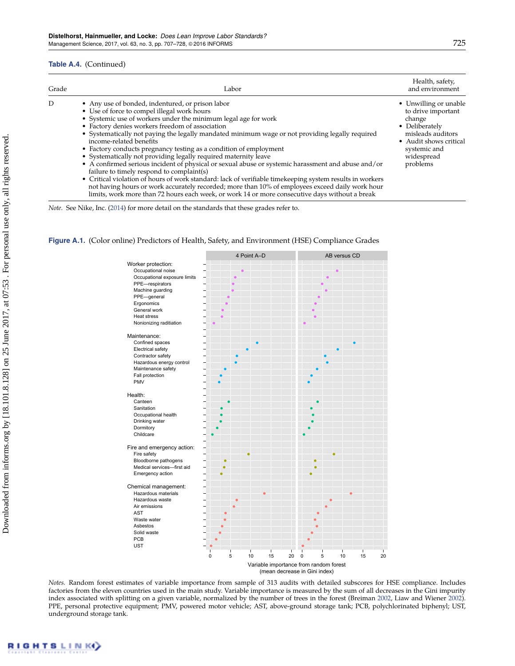#### **Table A.4.** (Continued)

| Grade | Labor                                                                                                                                                                                                                                                                                                                                                                                                                                                                                                                                                                                                                                                                                                                                                                                                                                                        | Health, safety,<br>and environment                                                                                                                               |
|-------|--------------------------------------------------------------------------------------------------------------------------------------------------------------------------------------------------------------------------------------------------------------------------------------------------------------------------------------------------------------------------------------------------------------------------------------------------------------------------------------------------------------------------------------------------------------------------------------------------------------------------------------------------------------------------------------------------------------------------------------------------------------------------------------------------------------------------------------------------------------|------------------------------------------------------------------------------------------------------------------------------------------------------------------|
| D     | • Any use of bonded, indentured, or prison labor<br>• Use of force to compel illegal work hours<br>• Systemic use of workers under the minimum legal age for work<br>• Factory denies workers freedom of association<br>• Systematically not paying the legally mandated minimum wage or not providing legally required<br>income-related benefits<br>• Factory conducts pregnancy testing as a condition of employment<br>• Systematically not providing legally required maternity leave<br>• A confirmed serious incident of physical or sexual abuse or systemic harassment and abuse and/or<br>failure to timely respond to complaint(s)<br>• Critical violation of hours of work standard: lack of verifiable timekeeping system results in workers<br>not having hours or work accurately recorded; more than 10% of employees exceed daily work hour | • Unwilling or unable<br>to drive important<br>change<br>• Deliberately<br>misleads auditors<br>• Audit shows critical<br>systemic and<br>widespread<br>problems |

limits, work more than 72 hours each week, or work 14 or more consecutive days without a break

*Note.* See Nike, Inc. [\(2014\)](#page-22-30) for more detail on the standards that these grades refer to.

Figure A.1. (Color online) Predictors of Health, Safety, and Environment (HSE) Compliance Grades

<span id="page-19-0"></span>

*Notes.* Random forest estimates of variable importance from sample of 313 audits with detailed subscores for HSE compliance. Includes factories from the eleven countries used in the main study. Variable importance is measured by the sum of all decreases in the Gini impurity index associated with splitting on a given variable, normalized by the number of trees in the forest (Breiman [2002,](#page-21-44) Liaw and Wiener [2002\)](#page-21-45). PPE, personal protective equipment; PMV, powered motor vehicle; AST, above-ground storage tank; PCB, polychlorinated biphenyl; UST, underground storage tank.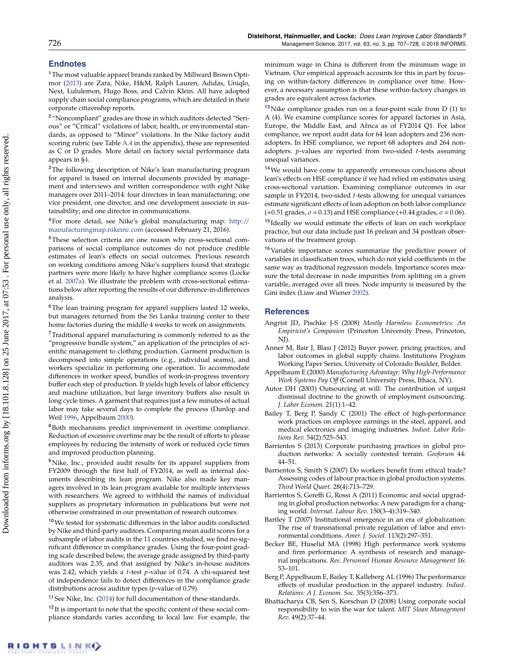## **Endnotes**

<span id="page-20-1"></span>**[1](#page-1-0)**The most valuable apparel brands ranked by Millward Brown Optimor [\(2013\)](#page-22-31) are Zara, Nike, H&M, Ralph Lauren, Adidas, Uniqlo, Next, Lululemon, Hugo Boss, and Calvin Klein. All have adopted supply chain social compliance programs, which are detailed in their corporate citizenship reports.

<span id="page-20-3"></span>**[2](#page-2-0)** "Noncompliant" grades are those in which auditors detected "Serious" or "Critical" violations of labor, health, or environmental standards, as opposed to "Minor" violations. In the Nike factory audit scoring rubric (see Table [A.4](#page-18-0) in the appendix), these are represented as C or D grades. More detail on factory social performance data appears in [§4.](#page-7-0)

<span id="page-20-9"></span>**[3](#page-4-1)**The following description of Nike's lean manufacturing program for apparel is based on internal documents provided by management and interviews and written correspondence with eight Nike managers over 2011–2014: four directors in lean manufacturing; one vice president, one director, and one development associate in sustainability; and one director in communications.

<span id="page-20-10"></span>**[4](#page-4-2)** For more detail, see Nike's global manufacturing map: [http://](http://manufacturingmap.nikeinc.com) [manufacturingmap.nikeinc.com](http://manufacturingmap.nikeinc.com) (accessed February 21, 2016).

<span id="page-20-11"></span>**[5](#page-5-1)**These selection criteria are one reason why cross-sectional comparisons of social compliance outcomes do not produce credible estimates of lean's effects on social outcomes. Previous research on working conditions among Nike's suppliers found that strategic partners were more likely to have higher compliance scores (Locke et al. [2007a\)](#page-21-16). We illustrate the problem with cross-sectional estimations below after reporting the results of our difference-in-differences analysis.

<span id="page-20-12"></span><sup>[6](#page-5-2)</sup>The lean training program for apparel suppliers lasted 12 weeks, but managers returned from the Sri Lanka training center to their home factories during the middle 4 weeks to work on assignments.

<span id="page-20-14"></span>**[7](#page-6-0)**Traditional apparel manufacturing is commonly referred to as the "progressive bundle system," an application of the principles of scientific management to clothing production. Garment production is decomposed into simple operations (e.g., individual seams), and workers specialize in performing one operation. To accommodate differences in worker speed, bundles of work-in-progress inventory buffer each step of production. It yields high levels of labor efficiency and machine utilization, but large inventory buffers also result in long cycle times. A garment that requires just a few minutes of actual labor may take several days to complete the process (Dunlop and Weil [1996,](#page-21-18) Appelbaum [2000\)](#page-20-4).

<span id="page-20-17"></span>**[8](#page-7-1)**Both mechanisms predict improvement in overtime compliance. Reduction of excessive overtime may be the result of efforts to please employees by reducing the intensity of work or reduced cycle times and improved production planning.

<span id="page-20-18"></span><sup>[9](#page-7-2)</sup>Nike, Inc., provided audit results for its apparel suppliers from FY2009 through the first half of FY2014, as well as internal documents describing its lean program. Nike also made key managers involved in its lean program available for multiple interviews with researchers. We agreed to withhold the names of individual suppliers as proprietary information in publications but were not otherwise constrained in our presentation of research outcomes.

<span id="page-20-19"></span>**[10](#page-7-3)**We tested for systematic differences in the labor audits conducted by Nike and third-party auditors. Comparing mean audit scores for a subsample of labor audits in the 11 countries studied, we find no significant difference in compliance grades. Using the four-point grading scale described below, the average grade assigned by third-party auditors was 2.35, and that assigned by Nike's in-house auditors was 2.42, which yields a *t*-test *p*-value of 0.74. A chi-squared test of independence fails to detect differences in the compliance grade distributions across auditor types (*p*-value of 0.79).

<span id="page-20-20"></span>**[11](#page-8-1)** See Nike, Inc. [\(2014\)](#page-22-30) for full documentation of these standards.

<span id="page-20-21"></span>**[12](#page-8-2)** It is important to note that the specific content of these social compliance standards varies according to local law. For example, the minimum wage in China is different from the minimum wage in Vietnam. Our empirical approach accounts for this in part by focusing on within-factory differences in compliance over time. However, a necessary assumption is that these within-factory changes in grades are equivalent across factories.

<span id="page-20-22"></span>**[13](#page-9-1)**Nike compliance grades run on a four-point scale from D (1) to A (4). We examine compliance scores for apparel factories in Asia, Europe, the Middle East, and Africa as of FY2014 Q1. For labor compliance, we report audit data for 64 lean adopters and 236 nonadopters. In HSE compliance, we report 68 adopters and 264 nonadopters. *p*-values are reported from two-sided *t*-tests assuming unequal variances.

<span id="page-20-24"></span>**[14](#page-10-1)**We would have come to apparently erroneous conclusions about lean's effects on HSE compliance if we had relied on estimates using cross-sectional variation. Examining compliance outcomes in our sample in FY2014, two-sided *t*-tests allowing for unequal variances estimate significant effects of lean adoption on both labor compliance (+0.51 grades,  $\sigma$  = 0.13) and HSE compliance (+0.44 grades,  $\sigma$  = 0.06). **[15](#page-12-1)** Ideally we would estimate the effects of lean on each workplace practice, but our data include just 16 prelean and 34 postlean observations of the treatment group.

<span id="page-20-27"></span><span id="page-20-26"></span>**[16](#page-13-1)**Variable importance scores summarize the predictive power of variables in classification trees, which do not yield coefficients in the same way as traditional regression models. Importance scores measure the total decrease in node impurities from splitting on a given variable, averaged over all trees. Node impurity is measured by the Gini index (Liaw and Wiener [2002\)](#page-21-45).

### **References**

- <span id="page-20-23"></span>Angrist JD, Pischke J-S (2008) *Mostly Harmless Econometrics: An Empiricist's Companion* (Princeton University Press, Princeton, NJ).
- <span id="page-20-7"></span>Anner M, Bair J, Blasi J (2012) Buyer power, pricing practices, and labor outcomes in global supply chains. Institutions Program Working Paper Series, University of Colorado Boulder, Bolder.
- <span id="page-20-4"></span>Appelbaum E (2000) *Manufacturing Advantage: Why High-Performance Work Systems Pay Off* (Cornell University Press, Ithaca, NY).
- <span id="page-20-25"></span>Autor DH (2003) Outsourcing at will: The contribution of unjust dismissal doctrine to the growth of employment outsourcing. *J. Labor Econom.* 21(1):1–42.
- <span id="page-20-13"></span>Bailey T, Berg P, Sandy C (2001) The effect of high-performance work practices on employee earnings in the steel, apparel, and medical electronics and imaging industries. *Indust. Labor Relations Rev.* 54(2):525–543.
- <span id="page-20-6"></span>Barrientos S (2013) Corporate purchasing practices in global production networks: A socially contested terrain. *Geoforum* 44: 44–51.
- <span id="page-20-2"></span>Barrientos S, Smith S (2007) Do workers benefit from ethical trade? Assessing codes of labour practice in global production systems. *Third World Quart.* 28(4):713–729.
- <span id="page-20-5"></span>Barrientos S, Gereffi G, Rossi A (2011) Economic and social upgrading in global production networks: A new paradigm for a changing world. *Internat. Labour Rev.* 150(3–4):319–340.
- <span id="page-20-8"></span>Bartley T (2007) Institutional emergence in an era of globalization: The rise of transnational private regulation of labor and environmental conditions. *Amer. J. Sociol.* 113(2):297–351.
- <span id="page-20-16"></span>Becker BE, Huselid MA (1998) High performance work systems and firm performance: A synthesis of research and managerial implications. *Res. Personnel Human Resource Management* 16: 53–101.
- <span id="page-20-15"></span>Berg P, Appelbaum E, Bailey T, Kalleberg AL (1996) The performance effects of modular production in the apparel industry. *Indust. Relations: A J. Econom. Soc.* 35(3):356–373.
- <span id="page-20-0"></span>Bhattacharya CB, Sen S, Korschun D (2008) Using corporate social responsibility to win the war for talent. *MIT Sloan Management Rev.* 49(2):37–44.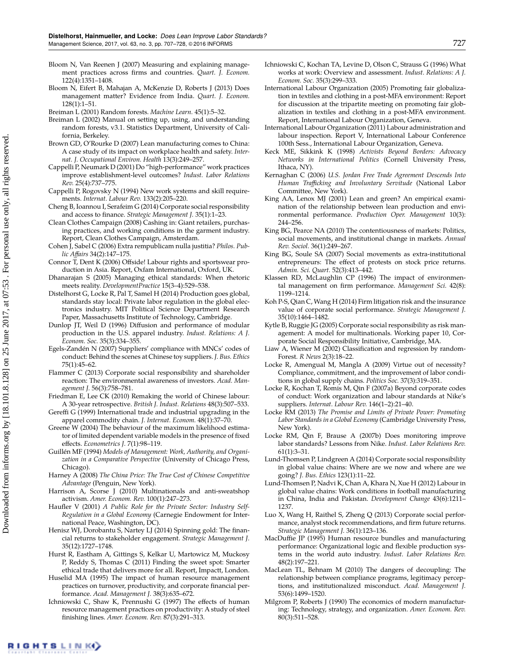- <span id="page-21-35"></span>Bloom N, Van Reenen J (2007) Measuring and explaining management practices across firms and countries. *Quart. J. Econom.* 122(4):1351–1408.
- <span id="page-21-20"></span>Bloom N, Eifert B, Mahajan A, McKenzie D, Roberts J (2013) Does management matter? Evidence from India. *Quart. J. Econom.* 128(1):1–51.
- <span id="page-21-43"></span>Breiman L (2001) Random forests. *Machine Learn.* 45(1):5–32.
- <span id="page-21-44"></span>Breiman L (2002) Manual on setting up, using, and understanding random forests, v3.1. Statistics Department, University of California, Berkeley.
- <span id="page-21-40"></span>Brown GD, O'Rourke D (2007) Lean manufacturing comes to China: A case study of its impact on workplace health and safety. *Internat. J. Occupational Environ. Health* 13(3):249–257.
- <span id="page-21-22"></span>Cappelli P, Neumark D (2001) Do "high-performance" work practices improve establishment-level outcomes? *Indust. Labor Relations Rev.* 25(4):737–775.
- <span id="page-21-37"></span>Cappelli P, Rogovsky N (1994) New work systems and skill requirements. *Internat. Labour Rev.* 133(2):205–220.
- <span id="page-21-0"></span>Cheng B, Ioannou I, Serafeim G (2014) Corporate social responsibility and access to finance. *Strategic Management J.* 35(1):1–23.
- <span id="page-21-39"></span>Clean Clothes Campaign (2008) Cashing in: Giant retailers, purchasing practices, and working conditions in the garment industry. Report, Clean Clothes Campaign, Amsterdam.
- <span id="page-21-29"></span>Cohen J, Sabel C (2006) Extra rempublicam nulla justitia? *Philos. Public Affairs* 34(2):147–175.
- <span id="page-21-27"></span>Connor T, Dent K (2006) Offside! Labour rights and sportswear production in Asia. Report, Oxfam International, Oxford, UK.
- <span id="page-21-24"></span>Dhanarajan S (2005) Managing ethical standards: When rhetoric meets reality. *DevelopmentPractice* 15(3–4):529–538.
- <span id="page-21-32"></span>Distelhorst G, Locke R, Pal T, Samel H (2014) Production goes global, standards stay local: Private labor regulation in the global electronics industry. MIT Political Science Department Research Paper, Massachusetts Institute of Technology, Cambridge.
- <span id="page-21-18"></span>Dunlop JT, Weil D (1996) Diffusion and performance of modular production in the U.S. apparel industry. *Indust. Relations: A J. Econom. Soc.* 35(3):334–355.
- <span id="page-21-6"></span>Egels-Zandén N (2007) Suppliers' compliance with MNCs' codes of conduct: Behind the scenes at Chinese toy suppliers. *J. Bus. Ethics* 75(1):45–62.
- <span id="page-21-11"></span>Flammer C (2013) Corporate social responsibility and shareholder reaction: The environmental awareness of investors. *Acad. Management J.* 56(3):758–781.
- <span id="page-21-47"></span>Friedman E, Lee CK (2010) Remaking the world of Chinese labour: A 30-year retrospective. *British J. Indust. Relations* 48(3):507–533.
- <span id="page-21-13"></span>Gereffi G (1999) International trade and industrial upgrading in the apparel commodity chain. *J. Internat. Econom.* 48(1):37–70.
- <span id="page-21-42"></span>Greene W (2004) The behaviour of the maximum likelihood estimator of limited dependent variable models in the presence of fixed effects. *Econometrics J.* 7(1):98–119.
- <span id="page-21-36"></span>Guillén MF (1994) *Models of Management: Work, Authority, and Organization in a Comparative Perspective* (University of Chicago Press, Chicago).
- <span id="page-21-34"></span>Harney A (2008) *The China Price: The True Cost of Chinese Competitive Advantage* (Penguin, New York).
- <span id="page-21-25"></span>Harrison A, Scorse J (2010) Multinationals and anti-sweatshop activism. *Amer. Econom. Rev.* 100(1):247–273.
- <span id="page-21-31"></span>Haufler V (2001) *A Public Role for the Private Sector: Industry Self-Regulation in a Global Economy* (Carnegie Endowment for International Peace, Washington, DC).
- <span id="page-21-4"></span>Henisz WJ, Dorobantu S, Nartey LJ (2014) Spinning gold: The financial returns to stakeholder engagement. *Strategic Management J.* 35(12):1727–1748.
- <span id="page-21-14"></span>Hurst R, Eastham A, Gittings S, Kelkar U, Martowicz M, Muckosy P, Reddy S, Thomas C (2011) Finding the sweet spot: Smarter ethical trade that delivers more for all. Report, Impactt, London.
- <span id="page-21-21"></span>Huselid MA (1995) The impact of human resource management practices on turnover, productivity, and corporate financial performance. *Acad. Management J.* 38(3):635–672.
- <span id="page-21-19"></span>Ichniowski C, Shaw K, Prennushi G (1997) The effects of human resource management practices on productivity: A study of steel finishing lines. *Amer. Econom. Rev.* 87(3):291–313.
- <span id="page-21-48"></span>Ichniowski C, Kochan TA, Levine D, Olson C, Strauss G (1996) What works at work: Overview and assessment. *Indust. Relations: A J. Econom. Soc.* 35(3):299–333.
- <span id="page-21-12"></span>International Labour Organization (2005) Promoting fair globalization in textiles and clothing in a post-MFA environment: Report for discussion at the tripartite meeting on promoting fair globalization in textiles and clothing in a post-MFA environment. Report, International Labour Organization, Geneva.
- <span id="page-21-41"></span>International Labour Organization (2011) Labour administration and labour inspection. Report V, International Labour Conference 100th Sess., International Labour Organization, Geneva.
- <span id="page-21-30"></span>Keck ME, Sikkink K (1998) *Activists Beyond Borders: Advocacy Networks in International Politics* (Cornell University Press, Ithaca, NY).
- <span id="page-21-28"></span>Kernaghan C (2006) *U.S. Jordan Free Trade Agreement Descends Into Human Trafficking and Involuntary Servitude* (National Labor Committee, New York).
- <span id="page-21-23"></span>King AA, Lenox MJ (2001) Lean and green? An empirical examination of the relationship between lean production and environmental performance. *Production Oper. Management* 10(3): 244–256.
- <span id="page-21-26"></span>King BG, Pearce NA (2010) The contentiousness of markets: Politics, social movements, and institutional change in markets. *Annual Rev. Sociol.* 36(1):249–267.
- <span id="page-21-9"></span>King BG, Soule SA (2007) Social movements as extra-institutional entrepreneurs: The effect of protests on stock price returns. *Admin. Sci. Quart.* 52(3):413–442.
- <span id="page-21-10"></span>Klassen RD, McLaughlin CP (1996) The impact of environmental management on firm performance. *Management Sci.* 42(8): 1199–1214.
- <span id="page-21-2"></span>Koh P-S, Qian C, Wang H (2014) Firm litigation risk and the insurance value of corporate social performance. *Strategic Management J.* 35(10):1464–1482.
- <span id="page-21-3"></span>Kytle B, Ruggie JG (2005) Corporate social responsibility as risk management: A model for multinationals. Working paper 10, Corporate Social Responsibility Initiative, Cambridge, MA.
- <span id="page-21-45"></span>Liaw A, Wiener M (2002) Classification and regression by random-Forest. *R News* 2(3):18–22.
- <span id="page-21-38"></span>Locke R, Amengual M, Mangla A (2009) Virtue out of necessity? Compliance, commitment, and the improvement of labor conditions in global supply chains. *Politics Soc.* 37(3):319–351.
- <span id="page-21-16"></span>Locke R, Kochan T, Romis M, Qin F (2007a) Beyond corporate codes of conduct: Work organization and labour standards at Nike's suppliers. *Internat. Labour Rev.* 146(1–2):21–40.
- <span id="page-21-5"></span>Locke RM (2013) *The Promise and Limits of Private Power: Promoting Labor Standards in a Global Economy* (Cambridge University Press, New York).
- <span id="page-21-7"></span>Locke RM, Qin F, Brause A (2007b) Does monitoring improve labor standards? Lessons from Nike. *Indust. Labor Relations Rev.* 61(1):3–31.
- <span id="page-21-15"></span>Lund-Thomsen P, Lindgreen A (2014) Corporate social responsibility in global value chains: Where are we now and where are we going? *J. Bus. Ethics* 123(1):11–22.
- <span id="page-21-8"></span>Lund-Thomsen P, Nadvi K, Chan A, Khara N, Xue H (2012) Labour in global value chains: Work conditions in football manufacturing in China, India and Pakistan. *Development Change* 43(6):1211– 1237.
- <span id="page-21-1"></span>Luo X, Wang H, Raithel S, Zheng Q (2013) Corporate social performance, analyst stock recommendations, and firm future returns. *Strategic Management J.* 36(1):123–136.
- <span id="page-21-17"></span>MacDuffie JP (1995) Human resource bundles and manufacturing performance: Organizational logic and flexible production systems in the world auto industry. *Indust. Labor Relations Rev.* 48(2):197–221.
- <span id="page-21-33"></span>MacLean TL, Behnam M (2010) The dangers of decoupling: The relationship between compliance programs, legitimacy perceptions, and institutionalized misconduct. *Acad. Management J.* 53(6):1499–1520.
- <span id="page-21-46"></span>Milgrom P, Roberts J (1990) The economics of modern manufacturing: Technology, strategy, and organization. *Amer. Econom. Rev.* 80(3):511–528.